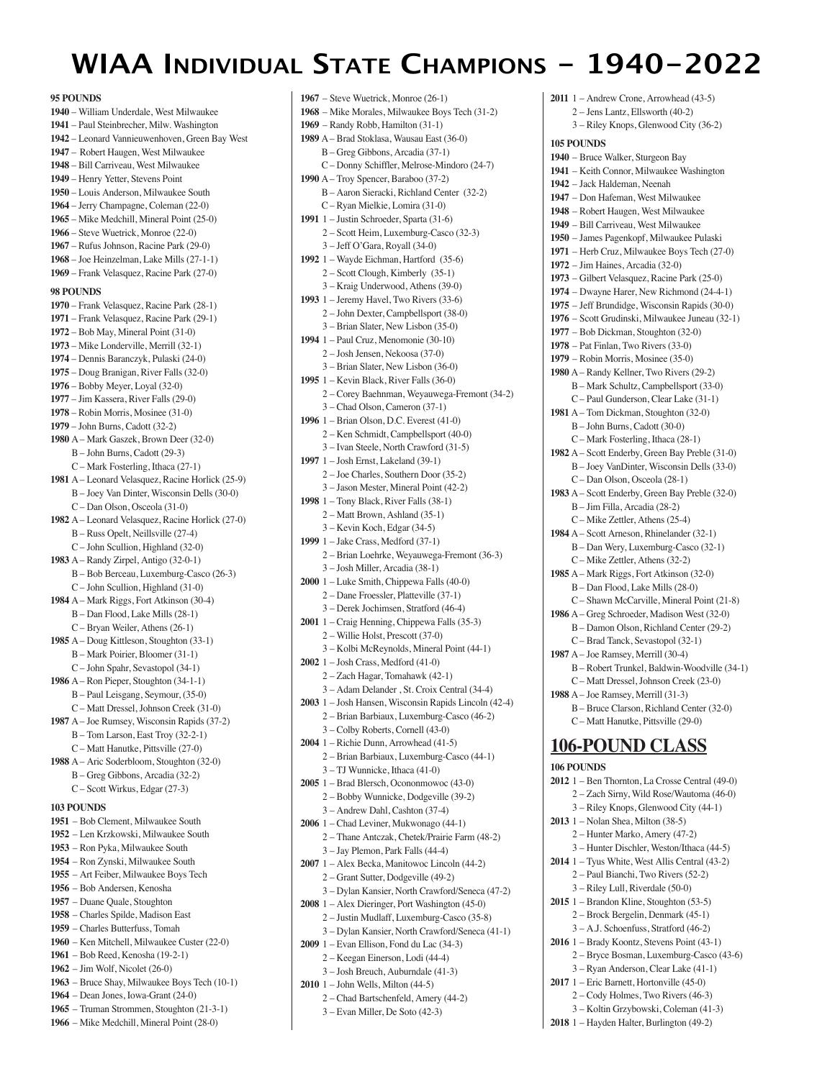# **WIAA INDIVIDUAL STATE CHAMPIONS - 1940-2022**

**95 POUNDS**  – William Underdale, West Milwaukee – Paul Steinbrecher, Milw. Washington – Leonard Vannieuwenhoven, Green Bay West – Robert Haugen, West Milwaukee – Bill Carriveau, West Milwaukee – Henry Yetter, Stevens Point – Louis Anderson, Milwaukee South – Jerry Champagne, Coleman (22-0) – Mike Medchill, Mineral Point (25-0) – Steve Wuetrick, Monroe (22-0) – Rufus Johnson, Racine Park (29-0) – Joe Heinzelman, Lake Mills (27-1-1) – Frank Velasquez, Racine Park (27-0) **98 POUNDS**  – Frank Velasquez, Racine Park (28-1) – Frank Velasquez, Racine Park (29-1) – Bob May, Mineral Point (31-0) – Mike Londerville, Merrill (32-1) – Dennis Baranczyk, Pulaski (24-0) – Doug Branigan, River Falls (32-0) – Bobby Meyer, Loyal (32-0) – Jim Kassera, River Falls (29-0) – Robin Morris, Mosinee (31-0) – John Burns, Cadott (32-2) A – Mark Gaszek, Brown Deer (32-0) B – John Burns, Cadott (29-3) C – Mark Fosterling, Ithaca (27-1) A – Leonard Velasquez, Racine Horlick (25-9) B – Joey Van Dinter, Wisconsin Dells (30-0) C – Dan Olson, Osceola (31-0) A – Leonard Velasquez, Racine Horlick (27-0) B – Russ Opelt, Neillsville (27-4) C – John Scullion, Highland (32-0) A – Randy Zirpel, Antigo (32-0-1) B – Bob Berceau, Luxemburg-Casco (26-3) C – John Scullion, Highland (31-0) A – Mark Riggs, Fort Atkinson (30-4) B – Dan Flood, Lake Mills (28-1) C – Bryan Weiler, Athens (26-1) A – Doug Kittleson, Stoughton (33-1) B – Mark Poirier, Bloomer (31-1) C – John Spahr, Sevastopol (34-1) A – Ron Pieper, Stoughton (34-1-1) B – Paul Leisgang, Seymour, (35-0) C – Matt Dressel, Johnson Creek (31-0) A – Joe Rumsey, Wisconsin Rapids (37-2) B – Tom Larson, East Troy (32-2-1) C – Matt Hanutke, Pittsville (27-0) A – Aric Soderbloom, Stoughton (32-0) B – Greg Gibbons, Arcadia (32-2) C – Scott Wirkus, Edgar (27-3) **103 POUNDS**  – Bob Clement, Milwaukee South – Len Krzkowski, Milwaukee South – Ron Pyka, Milwaukee South – Ron Zynski, Milwaukee South – Art Feiber, Milwaukee Boys Tech – Bob Andersen, Kenosha – Duane Quale, Stoughton – Charles Spilde, Madison East – Charles Butterfuss, Tomah – Ken Mitchell, Milwaukee Custer (22-0) – Bob Reed, Kenosha (19-2-1) – Jim Wolf, Nicolet (26-0) – Bruce Shay, Milwaukee Boys Tech (10-1) – Dean Jones, Iowa-Grant (24-0) – Truman Strommen, Stoughton (21-3-1)

**1966** – Mike Medchill, Mineral Point (28-0)

**1967** – Steve Wuetrick, Monroe (26-1) **1968** – Mike Morales, Milwaukee Boys Tech (31-2) **1969** – Randy Robb, Hamilton (31-1) **1989** A – Brad Stoklasa, Wausau East (36-0) B – Greg Gibbons, Arcadia (37-1) C – Donny Schiffler, Melrose-Mindoro (24-7) **1990** A – Troy Spencer, Baraboo (37-2) B – Aaron Sieracki, Richland Center (32-2) C – Ryan Mielkie, Lomira (31-0) **1991** 1 – Justin Schroeder, Sparta (31-6) 2 – Scott Heim, Luxemburg-Casco (32-3) 3 – Jeff O'Gara, Royall (34-0) **1992** 1 – Wayde Eichman, Hartford (35-6) 2 – Scott Clough, Kimberly (35-1) 3 – Kraig Underwood, Athens (39-0) **1993** 1 – Jeremy Havel, Two Rivers (33-6) 2 – John Dexter, Campbellsport (38-0) 3 – Brian Slater, New Lisbon (35-0) **1994** 1 – Paul Cruz, Menomonie (30-10) 2 – Josh Jensen, Nekoosa (37-0) 3 – Brian Slater, New Lisbon (36-0) **1995** 1 – Kevin Black, River Falls (36-0) 2 – Corey Baehnman, Weyauwega-Fremont (34-2) 3 – Chad Olson, Cameron (37-1) **1996** 1 – Brian Olson, D.C. Everest (41-0) 2 – Ken Schmidt, Campbellsport (40-0) 3 – Ivan Steele, North Crawford (31-5) **1997** 1 – Josh Ernst, Lakeland (39-1) 2 – Joe Charles, Southern Door (35-2) 3 – Jason Mester, Mineral Point (42-2) **1998** 1 – Tony Black, River Falls (38-1) 2 – Matt Brown, Ashland (35-1) 3 – Kevin Koch, Edgar (34-5) **1999** 1 – Jake Crass, Medford (37-1) 2 – Brian Loehrke, Weyauwega-Fremont (36-3) 3 – Josh Miller, Arcadia (38-1) **2000** 1 – Luke Smith, Chippewa Falls (40-0) 2 – Dane Froessler, Platteville (37-1) 3 – Derek Jochimsen, Stratford (46-4) **2001** 1 – Craig Henning, Chippewa Falls (35-3) 2 – Willie Holst, Prescott (37-0) 3 – Kolbi McReynolds, Mineral Point (44-1) **2002** 1 – Josh Crass, Medford (41-0) 2 – Zach Hagar, Tomahawk (42-1) 3 – Adam Delander , St. Croix Central (34-4) **2003** 1 – Josh Hansen, Wisconsin Rapids Lincoln (42-4) 2 – Brian Barbiaux, Luxemburg-Casco (46-2) 3 – Colby Roberts, Cornell (43-0) **2004** 1 – Richie Dunn, Arrowhead (41-5) 2 – Brian Barbiaux, Luxemburg-Casco (44-1) 3 – TJ Wunnicke, Ithaca (41-0) **2005** 1 – Brad Blersch, Ocononmowoc (43-0) 2 – Bobby Wunnicke, Dodgeville (39-2) 3 – Andrew Dahl, Cashton (37-4) **2006** 1 – Chad Leviner, Mukwonago (44-1) 2 – Thane Antczak, Chetek/Prairie Farm (48-2) 3 – Jay Plemon, Park Falls (44-4) **2007** 1 – Alex Becka, Manitowoc Lincoln (44-2) 2 – Grant Sutter, Dodgeville (49-2) 3 – Dylan Kansier, North Crawford/Seneca (47-2) **2008** 1 – Alex Dieringer, Port Washington (45-0) 2 – Justin Mudlaff, Luxemburg-Casco (35-8) 3 – Dylan Kansier, North Crawford/Seneca (41-1) **2009** 1 – Evan Ellison, Fond du Lac (34-3) 2 – Keegan Einerson, Lodi (44-4) 3 – Josh Breuch, Auburndale (41-3) **2011** 1 – Andrew Crone, Arrowhead (43-5) **105 POUNDS 106 POUNDS** 

- **2010** 1 John Wells, Milton (44-5)
	- 2 Chad Bartschenfeld, Amery (44-2)
	- 3 Evan Miller, De Soto (42-3)
- 2 Jens Lantz, Ellsworth (40-2) 3 – Riley Knops, Glenwood City (36-2) **1940** – Bruce Walker, Sturgeon Bay **1941** – Keith Connor, Milwaukee Washington **1942** – Jack Haldeman, Neenah **1947** – Don Hafeman, West Milwaukee **1948** – Robert Haugen, West Milwaukee **1949** – Bill Carriveau, West Milwaukee **1950** – James Pagenkopf, Milwaukee Pulaski **1971** – Herb Cruz, Milwaukee Boys Tech (27-0) **1972** – Jim Haines, Arcadia (32-0) **1973** – Gilbert Velasquez, Racine Park (25-0) **1974** – Dwayne Harer, New Richmond (24-4-1) **1975** – Jeff Brundidge, Wisconsin Rapids (30-0) **1976** – Scott Grudinski, Milwaukee Juneau (32-1) **1977** – Bob Dickman, Stoughton (32-0) **1978** – Pat Finlan, Two Rivers (33-0) **1979** – Robin Morris, Mosinee (35-0) **1980** A – Randy Kellner, Two Rivers (29-2) B – Mark Schultz, Campbellsport (33-0) C – Paul Gunderson, Clear Lake (31-1) **1981** A – Tom Dickman, Stoughton (32-0) B – John Burns, Cadott (30-0) C – Mark Fosterling, Ithaca (28-1) **1982** A – Scott Enderby, Green Bay Preble (31-0) B – Joey VanDinter, Wisconsin Dells (33-0) C – Dan Olson, Osceola (28-1) **1983** A – Scott Enderby, Green Bay Preble (32-0) B – Jim Filla, Arcadia (28-2) C – Mike Zettler, Athens (25-4) **1984** A – Scott Arneson, Rhinelander (32-1) B – Dan Wery, Luxemburg-Casco (32-1) C – Mike Zettler, Athens (32-2) **1985** A – Mark Riggs, Fort Atkinson (32-0) B – Dan Flood, Lake Mills (28-0) C – Shawn McCarville, Mineral Point (21-8) **1986** A – Greg Schroeder, Madison West (32-0) B – Damon Olson, Richland Center (29-2) C – Brad Tanck, Sevastopol (32-1) **1987** A – Joe Ramsey, Merrill (30-4) B – Robert Trunkel, Baldwin-Woodville (34-1) C – Matt Dressel, Johnson Creek (23-0) **1988** A – Joe Ramsey, Merrill (31-3) B – Bruce Clarson, Richland Center (32-0) C – Matt Hanutke, Pittsville (29-0) **106-POUND CLASS 2012** 1 – Ben Thornton, La Crosse Central (49-0) 2 – Zach Sirny, Wild Rose/Wautoma (46-0) 3 – Riley Knops, Glenwood City (44-1) **2013** 1 – Nolan Shea, Milton (38-5) 2 – Hunter Marko, Amery (47-2) 3 – Hunter Dischler, Weston/Ithaca (44-5) **2014** 1 – Tyus White, West Allis Central (43-2) 2 – Paul Bianchi, Two Rivers (52-2) 3 – Riley Lull, Riverdale (50-0) **2015** 1 – Brandon Kline, Stoughton (53-5) 2 – Brock Bergelin, Denmark (45-1) 3 – A.J. Schoenfuss, Stratford (46-2)
- **2016** 1 Brady Koontz, Stevens Point (43-1) 2 – Bryce Bosman, Luxemburg-Casco (43-6)
- 3 Ryan Anderson, Clear Lake (41-1)
- **2017** 1 Eric Barnett, Hortonville (45-0) 2 – Cody Holmes, Two Rivers (46-3)
	- 3 Koltin Grzybowski, Coleman (41-3)
- **2018** 1 Hayden Halter, Burlington (49-2)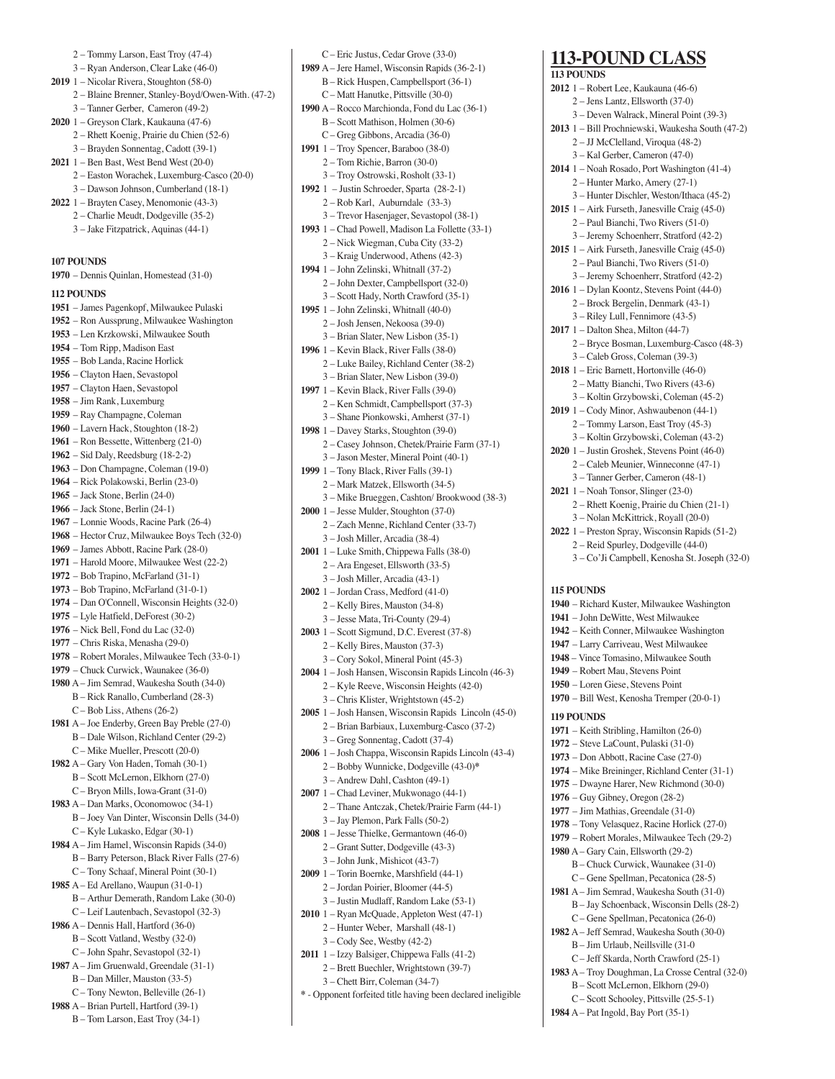- 2 Tommy Larson, East Troy (47-4) 3 – Ryan Anderson, Clear Lake (46-0) **2019** 1 – Nicolar Rivera, Stoughton (58-0) 2 – Blaine Brenner, Stanley-Boyd/Owen-With. (47-2) 3 – Tanner Gerber, Cameron (49-2) **2020** 1 – Greyson Clark, Kaukauna (47-6) 2 – Rhett Koenig, Prairie du Chien (52-6) 3 – Brayden Sonnentag, Cadott (39-1) **2021** 1 – Ben Bast, West Bend West (20-0) 2 – Easton Worachek, Luxemburg-Casco (20-0) 3 – Dawson Johnson, Cumberland (18-1) **2022** 1 – Brayten Casey, Menomonie (43-3) 2 – Charlie Meudt, Dodgeville (35-2) 3 – Jake Fitzpatrick, Aquinas (44-1) **107 POUNDS 1970** – Dennis Quinlan, Homestead (31-0) **112 POUNDS 1951** – James Pagenkopf, Milwaukee Pulaski **1952** – Ron Aussprung, Milwaukee Washington **1953** – Len Krzkowski, Milwaukee South **1954** – Tom Ripp, Madison East **1955** – Bob Landa, Racine Horlick **1956** – Clayton Haen, Sevastopol **1957** – Clayton Haen, Sevastopol **1958** – Jim Rank, Luxemburg **1959** – Ray Champagne, Coleman **1960** – Lavern Hack, Stoughton (18-2) **1961** – Ron Bessette, Wittenberg (21-0) **1962** – Sid Daly, Reedsburg (18-2-2) **1963** – Don Champagne, Coleman (19-0) **1964** – Rick Polakowski, Berlin (23-0) **1965** – Jack Stone, Berlin (24-0) **1966** – Jack Stone, Berlin (24-1) **1967** – Lonnie Woods, Racine Park (26-4) **1968** – Hector Cruz, Milwaukee Boys Tech (32-0) **1969** – James Abbott, Racine Park (28-0) **1971** – Harold Moore, Milwaukee West (22-2) **1972** – Bob Trapino, McFarland (31-1) **1973** – Bob Trapino, McFarland (31-0-1) **1974** – Dan O'Connell, Wisconsin Heights (32-0) **1975** – Lyle Hatfield, DeForest (30-2) **1976** – Nick Bell, Fond du Lac (32-0) **1977** – Chris Riska, Menasha (29-0) **1978** – Robert Morales, Milwaukee Tech (33-0-1) **1979** – Chuck Curwick, Waunakee (36-0) **1980** A – Jim Semrad, Waukesha South (34-0) B – Rick Ranallo, Cumberland (28-3) C – Bob Liss, Athens (26-2) **1981** A – Joe Enderby, Green Bay Preble (27-0) B – Dale Wilson, Richland Center (29-2) C – Mike Mueller, Prescott (20-0) **1982** A – Gary Von Haden, Tomah (30-1) B – Scott McLernon, Elkhorn (27-0) C – Bryon Mills, Iowa-Grant (31-0) **1983** A – Dan Marks, Oconomowoc (34-1) B – Joey Van Dinter, Wisconsin Dells (34-0) C – Kyle Lukasko, Edgar (30-1) **1984** A – Jim Hamel, Wisconsin Rapids (34-0) B – Barry Peterson, Black River Falls (27-6) C – Tony Schaaf, Mineral Point (30-1) **1985** A – Ed Arellano, Waupun (31-0-1) B – Arthur Demerath, Random Lake (30-0) C – Leif Lautenbach, Sevastopol (32-3) **1986** A – Dennis Hall, Hartford (36-0) B – Scott Vatland, Westby (32-0) C – John Spahr, Sevastopol (32-1) **1987** A – Jim Gruenwald, Greendale (31-1) B – Dan Miller, Mauston (33-5) C – Tony Newton, Belleville (26-1)
- **1988** A Brian Purtell, Hartford (39-1) B – Tom Larson, East Troy (34-1)
- C Eric Justus, Cedar Grove (33-0) **1989** A – Jere Hamel, Wisconsin Rapids (36-2-1) B – Rick Huspen, Campbellsport (36-1) C – Matt Hanutke, Pittsville (30-0) **1990** A – Rocco Marchionda, Fond du Lac (36-1) B – Scott Mathison, Holmen (30-6) C – Greg Gibbons, Arcadia (36-0) **1991** 1 – Troy Spencer, Baraboo (38-0) 2 – Tom Richie, Barron (30-0) 3 – Troy Ostrowski, Rosholt (33-1) **1992** 1 – Justin Schroeder, Sparta (28-2-1) 2 – Rob Karl, Auburndale (33-3) 3 – Trevor Hasenjager, Sevastopol (38-1) **1993** 1 – Chad Powell, Madison La Follette (33-1) 2 – Nick Wiegman, Cuba City (33-2) 3 – Kraig Underwood, Athens (42-3) **1994** 1 – John Zelinski, Whitnall (37-2) 2 – John Dexter, Campbellsport (32-0) 3 – Scott Hady, North Crawford (35-1) **1995** 1 – John Zelinski, Whitnall (40-0) 2 – Josh Jensen, Nekoosa (39-0) 3 – Brian Slater, New Lisbon (35-1) **1996** 1 – Kevin Black, River Falls (38-0) 2 – Luke Bailey, Richland Center (38-2) 3 – Brian Slater, New Lisbon (39-0) **1997** 1 – Kevin Black, River Falls (39-0) 2 – Ken Schmidt, Campbellsport (37-3) 3 – Shane Pionkowski, Amherst (37-1) **1998** 1 – Davey Starks, Stoughton (39-0) 2 – Casey Johnson, Chetek/Prairie Farm (37-1) 3 – Jason Mester, Mineral Point (40-1) **1999** 1 – Tony Black, River Falls (39-1) 2 – Mark Matzek, Ellsworth (34-5) 3 – Mike Brueggen, Cashton/ Brookwood (38-3) **2000** 1 – Jesse Mulder, Stoughton (37-0) 2 – Zach Menne, Richland Center (33-7) 3 – Josh Miller, Arcadia (38-4) **2001** 1 – Luke Smith, Chippewa Falls (38-0) 2 – Ara Engeset, Ellsworth (33-5) 3 – Josh Miller, Arcadia (43-1) **2002** 1 – Jordan Crass, Medford (41-0) 2 – Kelly Bires, Mauston (34-8) 3 – Jesse Mata, Tri-County (29-4) **2003** 1 – Scott Sigmund, D.C. Everest (37-8) 2 – Kelly Bires, Mauston (37-3) 3 – Cory Sokol, Mineral Point (45-3) **2004** 1 – Josh Hansen, Wisconsin Rapids Lincoln (46-3) 2 – Kyle Reeve, Wisconsin Heights (42-0) 3 – Chris Klister, Wrightstown (45-2) **2005** 1 – Josh Hansen, Wisconsin Rapids Lincoln (45-0) 2 – Brian Barbiaux, Luxemburg-Casco (37-2) 3 – Greg Sonnentag, Cadott (37-4) **2006** 1 – Josh Chappa, Wisconsin Rapids Lincoln (43-4) 2 – Bobby Wunnicke, Dodgeville (43-0)**\*** 3 – Andrew Dahl, Cashton (49-1) **2007** 1 – Chad Leviner, Mukwonago (44-1) 2 – Thane Antczak, Chetek/Prairie Farm (44-1) 3 – Jay Plemon, Park Falls (50-2) **2008** 1 – Jesse Thielke, Germantown (46-0) 2 – Grant Sutter, Dodgeville (43-3) 3 – John Junk, Mishicot (43-7)
- **2009** 1 Torin Boernke, Marshfield (44-1) 2 – Jordan Poirier, Bloomer (44-5) 3 – Justin Mudlaff, Random Lake (53-1)
- **2010** 1 Ryan McQuade, Appleton West (47-1) 2 – Hunter Weber, Marshall (48-1)
	- 3 Cody See, Westby (42-2)
- **2011** 1 Izzy Balsiger, Chippewa Falls (41-2)
	- 2 Brett Buechler, Wrightstown (39-7)
	- 3 Chett Birr, Coleman (34-7)
- **\*** Opponent forfeited title having been declared ineligible

### **113-POUND CLASS**

| <b>113 POUNDS</b>                                 |
|---------------------------------------------------|
| 2012 1 – Robert Lee, Kaukauna (46-6)              |
| 2 - Jens Lantz, Ellsworth (37-0)                  |
| 3 - Deven Walrack, Mineral Point (39-3)           |
| 2013 1 - Bill Prochniewski, Waukesha South (47-2) |
|                                                   |
| 2 - JJ McClelland, Viroqua (48-2)                 |
| 3 – Kal Gerber, Cameron (47-0)                    |
| 2014 1 - Noah Rosado, Port Washington (41-4)      |
| 2 - Hunter Marko, Amery (27-1)                    |
| 3 - Hunter Dischler, Weston/Ithaca (45-2)         |
| 2015 1 - Airk Furseth, Janesville Craig (45-0)    |
| 2 - Paul Bianchi, Two Rivers (51-0)               |
|                                                   |
| 3 - Jeremy Schoenherr, Stratford (42-2)           |
| $2015$ 1 – Airk Furseth, Janesville Craig (45-0)  |
| 2 - Paul Bianchi, Two Rivers (51-0)               |
| 3 - Jeremy Schoenherr, Stratford (42-2)           |
| 2016 1 - Dylan Koontz, Stevens Point (44-0)       |
| 2 – Brock Bergelin, Denmark (43-1)                |
|                                                   |
| 3 - Riley Lull, Fennimore (43-5)                  |
| 2017 1 - Dalton Shea, Milton (44-7)               |
| 2 - Bryce Bosman, Luxemburg-Casco (48-3)          |
| 3 - Caleb Gross, Coleman (39-3)                   |
| 2018 1 - Eric Barnett, Hortonville (46-0)         |
| 2 - Matty Bianchi, Two Rivers (43-6)              |
|                                                   |
| 3 - Koltin Grzybowski, Coleman (45-2)             |
| 2019 1 - Cody Minor, Ashwaubenon (44-1)           |
| 2 - Tommy Larson, East Troy (45-3)                |
| 3 - Koltin Grzybowski, Coleman (43-2)             |
| 2020 1 - Justin Groshek, Stevens Point (46-0)     |
| 2 - Caleb Meunier, Winneconne (47-1)              |
| 3 - Tanner Gerber, Cameron (48-1)                 |
|                                                   |
| 2021 1 - Noah Tonsor, Slinger (23-0)              |
| 2 - Rhett Koenig, Prairie du Chien (21-1)         |
| 3 - Nolan McKittrick, Royall (20-0)               |
| 2022 1 - Preston Spray, Wisconsin Rapids (51-2)   |
|                                                   |
|                                                   |
| 2 - Reid Spurley, Dodgeville (44-0)               |
| 3 - Co'Ji Campbell, Kenosha St. Joseph (32-0)     |
|                                                   |
| <b>115 POUNDS</b>                                 |
|                                                   |
| 1940 – Richard Kuster, Milwaukee Washington       |
| 1941 - John DeWitte, West Milwaukee               |
| 1942 - Keith Conner, Milwaukee Washington         |
| 1947 - Larry Carriveau, West Milwaukee            |
| 1948 - Vince Tomasino, Milwaukee South            |
| 1949 - Robert Mau, Stevens Point                  |
|                                                   |
| 1950 - Loren Giese, Stevens Point                 |
| 1970 - Bill West, Kenosha Tremper (20-0-1)        |
| 119 POUNDS                                        |
| 1971 – Keith Stribling, Hamilton (26-0)           |
|                                                   |
| 1972 – Steve LaCount, Pulaski (31-0)              |
| 1973 – Don Abbott, Racine Case (27-0)             |
| 1974 – Mike Breininger, Richland Center (31-1)    |
| 1975 – Dwayne Harer, New Richmond (30-0)          |
| $1976$ – Guy Gibney, Oregon $(28-2)$              |
|                                                   |
| 1977 - Jim Mathias, Greendale (31-0)              |
| 1978 - Tony Velasquez, Racine Horlick (27-0)      |
| 1979 – Robert Morales, Milwaukee Tech (29-2)      |
| 1980 A - Gary Cain, Ellsworth (29-2)              |
| B - Chuck Curwick, Waunakee (31-0)                |
| C – Gene Spellman, Pecatonica (28-5)              |
|                                                   |
| 1981 A - Jim Semrad, Waukesha South (31-0)        |
| B - Jay Schoenback, Wisconsin Dells (28-2)        |
| C – Gene Spellman, Pecatonica (26-0)              |
| 1982 A - Jeff Semrad, Waukesha South (30-0)       |
| B - Jim Urlaub, Neillsville (31-0                 |
| C - Jeff Skarda, North Crawford (25-1)            |

 B – Scott McLernon, Elkhorn (29-0) C – Scott Schooley, Pittsville (25-5-1) **1984** A – Pat Ingold, Bay Port (35-1)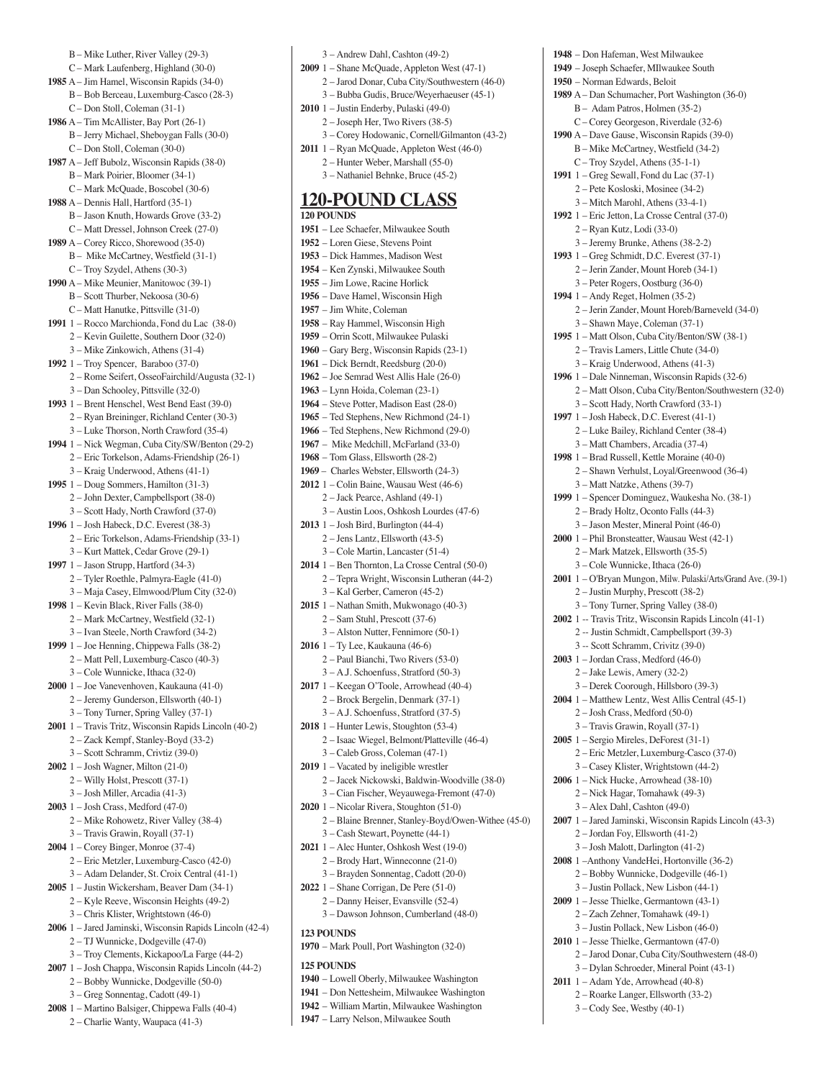B – Mike Luther, River Valley (29-3) C – Mark Laufenberg, Highland (30-0) **1985** A – Jim Hamel, Wisconsin Rapids (34-0) B – Bob Berceau, Luxemburg-Casco (28-3) C – Don Stoll, Coleman (31-1) **1986** A – Tim McAllister, Bay Port (26-1) B – Jerry Michael, Sheboygan Falls (30-0) C – Don Stoll, Coleman (30-0) **1987** A – Jeff Bubolz, Wisconsin Rapids (38-0) B – Mark Poirier, Bloomer (34-1) C – Mark McQuade, Boscobel (30-6) **1988** A – Dennis Hall, Hartford (35-1) B – Jason Knuth, Howards Grove (33-2) C – Matt Dressel, Johnson Creek (27-0) **1989** A – Corey Ricco, Shorewood (35-0) B – Mike McCartney, Westfield (31-1) C – Troy Szydel, Athens (30-3) **1990** A – Mike Meunier, Manitowoc (39-1) B – Scott Thurber, Nekoosa (30-6) C – Matt Hanutke, Pittsville (31-0) **1991** 1 – Rocco Marchionda, Fond du Lac (38-0) 2 – Kevin Guilette, Southern Door (32-0) 3 – Mike Zinkowich, Athens (31-4) **1992** 1 – Troy Spencer, Baraboo (37-0) 2 – Rome Seifert, OsseoFairchild/Augusta (32-1) 3 – Dan Schooley, Pittsville (32-0) **1993** 1 – Brent Henschel, West Bend East (39-0) 2 – Ryan Breininger, Richland Center (30-3) 3 – Luke Thorson, North Crawford (35-4) **1994** 1 – Nick Wegman, Cuba City/SW/Benton (29-2) 2 – Eric Torkelson, Adams-Friendship (26-1) 3 – Kraig Underwood, Athens (41-1) **1995** 1 – Doug Sommers, Hamilton (31-3) 2 – John Dexter, Campbellsport (38-0) 3 – Scott Hady, North Crawford (37-0) **1996** 1 – Josh Habeck, D.C. Everest (38-3) 2 – Eric Torkelson, Adams-Friendship (33-1) 3 – Kurt Mattek, Cedar Grove (29-1) **1997** 1 – Jason Strupp, Hartford (34-3) 2 – Tyler Roethle, Palmyra-Eagle (41-0) 3 – Maja Casey, Elmwood/Plum City (32-0) **1998** 1 – Kevin Black, River Falls (38-0) 2 – Mark McCartney, Westfield (32-1) 3 – Ivan Steele, North Crawford (34-2) **1999** 1 – Joe Henning, Chippewa Falls (38-2) 2 – Matt Pell, Luxemburg-Casco (40-3) 3 – Cole Wunnicke, Ithaca (32-0) **2000** 1 – Joe Vanevenhoven, Kaukauna (41-0) 2 – Jeremy Gunderson, Ellsworth (40-1) 3 – Tony Turner, Spring Valley (37-1) **2001** 1 – Travis Tritz, Wisconsin Rapids Lincoln (40-2) 2 – Zack Kempf, Stanley-Boyd (33-2) 3 – Scott Schramm, Crivtiz (39-0) **2002** 1 – Josh Wagner, Milton (21-0) 2 – Willy Holst, Prescott (37-1) 3 – Josh Miller, Arcadia (41-3) **2003** 1 – Josh Crass, Medford (47-0) 2 – Mike Rohowetz, River Valley (38-4) 3 – Travis Grawin, Royall (37-1) **2004** 1 – Corey Binger, Monroe (37-4) 2 – Eric Metzler, Luxemburg-Casco (42-0) 3 – Adam Delander, St. Croix Central (41-1) **2005** 1 – Justin Wickersham, Beaver Dam (34-1) 2 – Kyle Reeve, Wisconsin Heights (49-2) 3 – Chris Klister, Wrightstown (46-0) **2006** 1 – Jared Jaminski, Wisconsin Rapids Lincoln (42-4) 2 – TJ Wunnicke, Dodgeville (47-0) 3 – Troy Clements, Kickapoo/La Farge (44-2) **2007** 1 – Josh Chappa, Wisconsin Rapids Lincoln (44-2) 2 – Bobby Wunnicke, Dodgeville (50-0) 3 – Greg Sonnentag, Cadott (49-1) **2008** 1 – Martino Balsiger, Chippewa Falls (40-4)

- 2 Charlie Wanty, Waupaca (41-3)
- 3 Andrew Dahl, Cashton (49-2) **2009** 1 – Shane McQuade, Appleton West (47-1) 2 – Jarod Donar, Cuba City/Southwestern (46-0) 3 – Bubba Gudis, Bruce/Weyerhaeuser (45-1) **2010** 1 – Justin Enderby, Pulaski (49-0) 2 – Joseph Her, Two Rivers (38-5) 3 – Corey Hodowanic, Cornell/Gilmanton (43-2) **2011** 1 – Ryan McQuade, Appleton West (46-0) 2 – Hunter Weber, Marshall (55-0) 3 – Nathaniel Behnke, Bruce (45-2) **120-POUND CLASS 120 POUNDS 1951** – Lee Schaefer, Milwaukee South **1952** – Loren Giese, Stevens Point **1953** – Dick Hammes, Madison West **1954** – Ken Zynski, Milwaukee South **1955** – Jim Lowe, Racine Horlick **1956** – Dave Hamel, Wisconsin High **1957** – Jim White, Coleman **1958** – Ray Hammel, Wisconsin High **1959** – Orrin Scott, Milwaukee Pulaski **1960** – Gary Berg, Wisconsin Rapids (23-1) **1961** – Dick Berndt, Reedsburg (20-0) **1962** – Joe Semrad West Allis Hale (26-0) **1963** – Lynn Hoida, Coleman (23-1) **1964** – Steve Potter, Madison East (28-0) **1965** – Ted Stephens, New Richmond (24-1) **1966** – Ted Stephens, New Richmond (29-0) **1967** – Mike Medchill, McFarland (33-0) **1968** – Tom Glass, Ellsworth (28-2) **1969** – Charles Webster, Ellsworth (24-3) **2012** 1 – Colin Baine, Wausau West (46-6) 2 – Jack Pearce, Ashland (49-1) 3 – Austin Loos, Oshkosh Lourdes (47-6) **2013** 1 – Josh Bird, Burlington (44-4) 2 – Jens Lantz, Ellsworth (43-5) 3 – Cole Martin, Lancaster (51-4) **2014** 1 – Ben Thornton, La Crosse Central (50-0) 2 – Tepra Wright, Wisconsin Lutheran (44-2) 3 – Kal Gerber, Cameron (45-2) **2015** 1 – Nathan Smith, Mukwonago (40-3) 2 – Sam Stuhl, Prescott (37-6) 3 – Alston Nutter, Fennimore (50-1) **2016** 1 – Ty Lee, Kaukauna (46-6) 2 – Paul Bianchi, Two Rivers (53-0) 3 – A.J. Schoenfuss, Stratford (50-3) **2017** 1 – Keegan O'Toole, Arrowhead (40-4) 2 – Brock Bergelin, Denmark (37-1) 3 – A.J. Schoenfuss, Stratford (37-5) **2018** 1 – Hunter Lewis, Stoughton (53-4) 2 – Isaac Wiegel, Belmont/Platteville (46-4) 3 – Caleb Gross, Coleman (47-1) **2019** 1 – Vacated by ineligible wrestler 2 – Jacek Nickowski, Baldwin-Woodville (38-0) 3 – Cian Fischer, Weyauwega-Fremont (47-0) **2020** 1 – Nicolar Rivera, Stoughton (51-0) 2 – Blaine Brenner, Stanley-Boyd/Owen-Withee (45-0) 3 – Cash Stewart, Poynette (44-1) **2021** 1 – Alec Hunter, Oshkosh West (19-0) 2 – Brody Hart, Winneconne (21-0) 3 – Brayden Sonnentag, Cadott (20-0) **2022** 1 – Shane Corrigan, De Pere (51-0) 2 – Danny Heiser, Evansville (52-4) 3 – Dawson Johnson, Cumberland (48-0) **123 POUNDS**

**1970** – Mark Poull, Port Washington (32-0)

#### **125 POUNDS**

- **1940** Lowell Oberly, Milwaukee Washington
- **1941** Don Nettesheim, Milwaukee Washington
- **1942** William Martin, Milwaukee Washington
- **1947** Larry Nelson, Milwaukee South

**1948** – Don Hafeman, West Milwaukee **1949** – Joseph Schaefer, MIlwaukee South **1950** – Norman Edwards, Beloit **1989** A – Dan Schumacher, Port Washington (36-0) B – Adam Patros, Holmen (35-2) C – Corey Georgeson, Riverdale (32-6) **1990** A – Dave Gause, Wisconsin Rapids (39-0) B – Mike McCartney, Westfield (34-2) C – Troy Szydel, Athens (35-1-1) **1991** 1 – Greg Sewall, Fond du Lac (37-1) 2 – Pete Kosloski, Mosinee (34-2) 3 – Mitch Marohl, Athens (33-4-1) **1992** 1 – Eric Jetton, La Crosse Central (37-0) 2 – Ryan Kutz, Lodi (33-0) 3 – Jeremy Brunke, Athens (38-2-2) **1993** 1 – Greg Schmidt, D.C. Everest (37-1) 2 – Jerin Zander, Mount Horeb (34-1) 3 – Peter Rogers, Oostburg (36-0) **1994** 1 – Andy Reget, Holmen (35-2) 2 – Jerin Zander, Mount Horeb/Barneveld (34-0) 3 – Shawn Maye, Coleman (37-1) **1995** 1 – Matt Olson, Cuba City/Benton/SW (38-1) 2 – Travis Lamers, Little Chute (34-0) 3 – Kraig Underwood, Athens (41-3) **1996** 1 – Dale Ninneman, Wisconsin Rapids (32-6) 2 – Matt Olson, Cuba City/Benton/Southwestern (32-0) 3 – Scott Hady, North Crawford (33-1) **1997** 1 – Josh Habeck, D.C. Everest (41-1) 2 – Luke Bailey, Richland Center (38-4) 3 – Matt Chambers, Arcadia (37-4) **1998** 1 – Brad Russell, Kettle Moraine (40-0) 2 – Shawn Verhulst, Loyal/Greenwood (36-4) 3 – Matt Natzke, Athens (39-7) **1999** 1 – Spencer Dominguez, Waukesha No. (38-1) 2 – Brady Holtz, Oconto Falls (44-3) 3 – Jason Mester, Mineral Point (46-0) **2000** 1 – Phil Bronsteatter, Wausau West (42-1) 2 – Mark Matzek, Ellsworth (35-5) 3 – Cole Wunnicke, Ithaca (26-0) **2001** 1 – O'Bryan Mungon, Milw. Pulaski/Arts/Grand Ave. (39-1) 2 – Justin Murphy, Prescott (38-2) 3 – Tony Turner, Spring Valley (38-0) **2002** 1 -- Travis Tritz, Wisconsin Rapids Lincoln (41-1) 2 -- Justin Schmidt, Campbellsport (39-3) 3 -- Scott Schramm, Crivitz (39-0) **2003** 1 – Jordan Crass, Medford (46-0) 2 – Jake Lewis, Amery (32-2) 3 – Derek Coorough, Hillsboro (39-3) **2004** 1 – Matthew Lentz, West Allis Central (45-1) 2 – Josh Crass, Medford (50-0) 3 – Travis Grawin, Royall (37-1) **2005** 1 – Sergio Mireles, DeForest (31-1) 2 – Eric Metzler, Luxemburg-Casco (37-0) 3 – Casey Klister, Wrightstown (44-2) **2006** 1 – Nick Hucke, Arrowhead (38-10) 2 – Nick Hagar, Tomahawk (49-3) 3 – Alex Dahl, Cashton (49-0) **2007** 1 – Jared Jaminski, Wisconsin Rapids Lincoln (43-3) 2 – Jordan Foy, Ellsworth (41-2) 3 – Josh Malott, Darlington (41-2) **2008** 1 –Anthony VandeHei, Hortonville (36-2) 2 – Bobby Wunnicke, Dodgeville (46-1) 3 – Justin Pollack, New Lisbon (44-1) **2009** 1 – Jesse Thielke, Germantown (43-1) 2 – Zach Zehner, Tomahawk (49-1) 3 – Justin Pollack, New Lisbon (46-0) **2010** 1 – Jesse Thielke, Germantown (47-0) 2 – Jarod Donar, Cuba City/Southwestern (48-0) 3 – Dylan Schroeder, Mineral Point (43-1) **2011** 1 – Adam Yde, Arrowhead (40-8) 2 – Roarke Langer, Ellsworth (33-2)

3 – Cody See, Westby (40-1)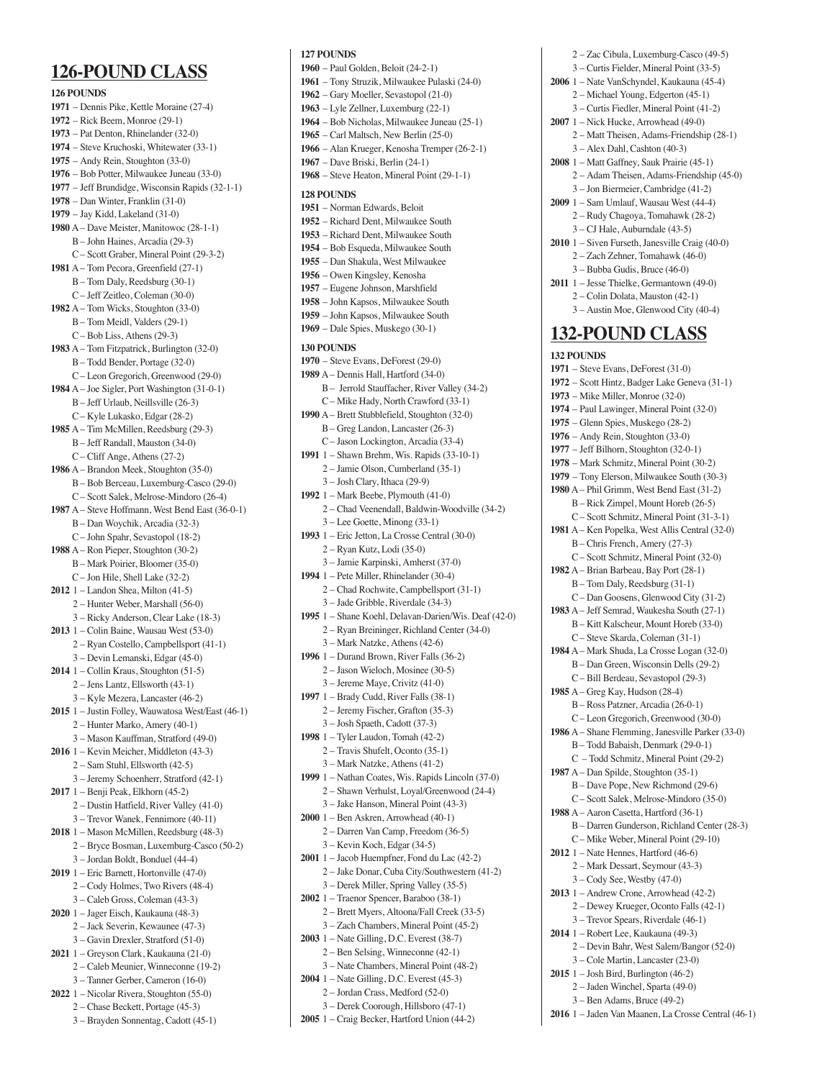### **126-POUND CLASS 126 POUNDS 1971** – Dennis Pike, Kettle Moraine (27-4) **1972** – Rick Beem, Monroe (29-1) **1973** – Pat Denton, Rhinelander (32-0) **1974** – Steve Kruchoski, Whitewater (33-1) **1975** – Andy Rein, Stoughton (33-0) **1976** – Bob Potter, Milwaukee Juneau (33-0) **1977** – Jeff Brundidge, Wisconsin Rapids (32-1-1) **1978** – Dan Winter, Franklin (31-0) **1979** – Jay Kidd, Lakeland (31-0) **1980** A – Dave Meister, Manitowoc (28-1-1) B – John Haines, Arcadia (29-3) C – Scott Graber, Mineral Point (29-3-2) **1981** A – Tom Pecora, Greenfield (27-1) B – Tom Daly, Reedsburg (30-1) C – Jeff Zeitleo, Coleman (30-0) **1982** A – Tom Wicks, Stoughton (33-0) B – Tom Meidl, Valders (29-1) C – Bob Liss, Athens (29-3) **1983** A – Tom Fitzpatrick, Burlington (32-0) B – Todd Bender, Portage (32-0) C – Leon Gregorich, Greenwood (29-0) **1984** A – Joe Sigler, Port Washington (31-0-1) B – Jeff Urlaub, Neillsville (26-3) C – Kyle Lukasko, Edgar (28-2) **1985** A – Tim McMillen, Reedsburg (29-3) B – Jeff Randall, Mauston (34-0) C – Cliff Ange, Athens (27-2) **1986** A – Brandon Meek, Stoughton (35-0) B – Bob Berceau, Luxemburg-Casco (29-0) C – Scott Salek, Melrose-Mindoro (26-4) **1987** A – Steve Hoffmann, West Bend East (36-0-1) B – Dan Woychik, Arcadia (32-3) C – John Spahr, Sevastopol (18-2) **1988** A – Ron Pieper, Stoughton (30-2) B – Mark Poirier, Bloomer (35-0)  $C =$  Ion Hile, Shell Lake  $(32-2)$ **2012** 1 – Landon Shea, Milton (41-5) 2 – Hunter Weber, Marshall (56-0) 3 – Ricky Anderson, Clear Lake (18-3) **2013** 1 – Colin Baine, Wausau West (53-0) 2 – Ryan Costello, Campbellsport (41-1) 3 – Devin Lemanski, Edgar (45-0) **2014** 1 – Collin Kraus, Stoughton (51-5) 2 – Jens Lantz, Ellsworth (43-1) 3 – Kyle Mezera, Lancaster (46-2) **2015** 1 – Justin Folley, Wauwatosa West/East (46-1) 2 – Hunter Marko, Amery (40-1) 3 – Mason Kauffman, Stratford (49-0) **2016** 1 – Kevin Meicher, Middleton (43-3) 2 – Sam Stuhl, Ellsworth (42-5) 3 – Jeremy Schoenherr, Stratford (42-1) **2017** 1 – Benji Peak, Elkhorn (45-2) 2 – Dustin Hatfield, River Valley (41-0) 3 – Trevor Wanek, Fennimore (40-11) **2018** 1 – Mason McMillen, Reedsburg (48-3) 2 – Bryce Bosman, Luxemburg-Casco (50-2) 3 – Jordan Boldt, Bonduel (44-4) **2019** 1 – Eric Barnett, Hortonville (47-0) 2 – Cody Holmes, Two Rivers (48-4) 3 – Caleb Gross, Coleman (43-3)

- **2020** 1 Jager Eisch, Kaukauna (48-3) 2 – Jack Severin, Kewaunee (47-3)
	- 3 Gavin Drexler, Stratford (51-0)
- **2021** 1 Greyson Clark, Kaukauna (21-0)
	- 2 Caleb Meunier, Winneconne (19-2)
	- 3 Tanner Gerber, Cameron (16-0)
- **2022** 1 Nicolar Rivera, Stoughton (55-0)
	- 2 Chase Beckett, Portage (45-3) 3 – Brayden Sonnentag, Cadott (45-1)

### **127 POUNDS**

- **1960** Paul Golden, Beloit (24-2-1)
- **1961** Tony Struzik, Milwaukee Pulaski (24-0)
- **1962** Gary Moeller, Sevastopol (21-0)
- **1963** Lyle Zellner, Luxemburg (22-1)
- **1964** Bob Nicholas, Milwaukee Juneau (25-1)
- **1965** Carl Maltsch, New Berlin (25-0)
- **1966** Alan Krueger, Kenosha Tremper (26-2-1)
- **1967** Dave Briski, Berlin (24-1)
- **1968** Steve Heaton, Mineral Point (29-1-1)

### **128 POUNDS**

- **1951** Norman Edwards, Beloit **1952** – Richard Dent, Milwaukee South
- **1953** Richard Dent, Milwaukee South
- **1954** Bob Esqueda, Milwaukee South
- **1955** Dan Shakula, West Milwaukee
- **1956** Owen Kingsley, Kenosha
- **1957** Eugene Johnson, Marshfield
- **1958** John Kapsos, Milwaukee South
- **1959** John Kapsos, Milwaukee South
- **1969** Dale Spies, Muskego (30-1)

### **130 POUNDS**

- **1970** Steve Evans, DeForest (29-0) **1989** A – Dennis Hall, Hartford (34-0) B – Jerrold Stauffacher, River Valley (34-2) C – Mike Hady, North Crawford (33-1)
- **1990** A Brett Stubblefield, Stoughton (32-0) B – Greg Landon, Lancaster (26-3)
- C Jason Lockington, Arcadia (33-4) **1991** 1 – Shawn Brehm, Wis. Rapids (33-10-1) 2 – Jamie Olson, Cumberland (35-1)
	- 3 Josh Clary, Ithaca (29-9)
- **1992** 1 Mark Beebe, Plymouth (41-0) 2 – Chad Veenendall, Baldwin-Woodville (34-2) 3 – Lee Goette, Minong (33-1)
- **1993** 1 Eric Jetton, La Crosse Central (30-0)
- 2 Ryan Kutz, Lodi (35-0)
- 3 Jamie Karpinski, Amherst (37-0) **1994** 1 – Pete Miller, Rhinelander (30-4)
	- 2 Chad Rochwite, Campbellsport (31-1) 3 – Jade Gribble, Riverdale (34-3)
- **1995** 1 Shane Koehl, Delavan-Darien/Wis. Deaf (42-0) 2 – Ryan Breininger, Richland Center (34-0)
	- 3 Mark Natzke, Athens (42-6)
- **1996** 1 Durand Brown, River Falls (36-2) 2 – Jason Wieloch, Mosinee (30-5)
- 3 Jereme Maye, Crivitz (41-0)
- **1997** 1 Brady Cudd, River Falls (38-1) 2 – Jeremy Fischer, Grafton (35-3) 3 – Josh Spaeth, Cadott (37-3)
- **1998** 1 Tyler Laudon, Tomah (42-2)
	- 2 Travis Shufelt, Oconto (35-1) 3 – Mark Natzke, Athens (41-2)
- **1999** 1 Nathan Coates, Wis. Rapids Lincoln (37-0) 2 – Shawn Verhulst, Loyal/Greenwood (24-4)
- 3 Jake Hanson, Mineral Point (43-3) **2000** 1 – Ben Askren, Arrowhead (40-1)
	- 2 Darren Van Camp, Freedom (36-5) 3 – Kevin Koch, Edgar (34-5)
- **2001** 1 Jacob Huempfner, Fond du Lac (42-2) 2 – Jake Donar, Cuba City/Southwestern (41-2)
	- 3 Derek Miller, Spring Valley (35-5)
- **2002** 1 Traenor Spencer, Baraboo (38-1) 2 – Brett Myers, Altoona/Fall Creek (33-5) 3 – Zach Chambers, Mineral Point (45-2)
- **2003** 1 Nate Gilling, D.C. Everest (38-7)
- 2 Ben Selsing, Winneconne (42-1) 3 – Nate Chambers, Mineral Point (48-2)
- **2004** 1 Nate Gilling, D.C. Everest (45-3)
	- 2 Jordan Crass, Medford (52-0)
	- 3 Derek Coorough, Hillsboro (47-1)
- **2005** 1 Craig Becker, Hartford Union (44-2)
- 2 Zac Cibula, Luxemburg-Casco (49-5)
- 3 Curtis Fielder, Mineral Point (33-5)
- **2006** 1 Nate VanSchyndel, Kaukauna (45-4)
- 2 Michael Young, Edgerton (45-1)
- 3 Curtis Fiedler, Mineral Point (41-2) **2007** 1 – Nick Hucke, Arrowhead (49-0)
- 2 Matt Theisen, Adams-Friendship (28-1) 3 – Alex Dahl, Cashton (40-3)
- **2008** 1 Matt Gaffney, Sauk Prairie (45-1)
	- 2 Adam Theisen, Adams-Friendship (45-0)
	- 3 Jon Biermeier, Cambridge (41-2)
- **2009** 1 Sam Umlauf, Wausau West (44-4) 2 – Rudy Chagoya, Tomahawk (28-2)
- 3 CJ Hale, Auburndale (43-5) **2010** 1 – Siven Furseth, Janesville Craig (40-0) 2 – Zach Zehner, Tomahawk (46-0)
- 3 Bubba Gudis, Bruce (46-0) **2011** 1 – Jesse Thielke, Germantown (49-0)
	- 2 Colin Dolata, Mauston (42-1) 3 – Austin Moe, Glenwood City (40-4)

### **132-POUND CLASS**

**132 POUNDS** 

 – Steve Evans, DeForest (31-0) – Scott Hintz, Badger Lake Geneva (31-1) – Mike Miller, Monroe (32-0) – Paul Lawinger, Mineral Point (32-0) – Glenn Spies, Muskego (28-2) – Andy Rein, Stoughton (33-0) – Jeff Bilhorn, Stoughton (32-0-1) – Mark Schmitz, Mineral Point (30-2) – Tony Elerson, Milwaukee South (30-3) A – Phil Grimm, West Bend East (31-2) B – Rick Zimpel, Mount Horeb (26-5) C – Scott Schmitz, Mineral Point (31-3-1) A – Ken Popelka, West Allis Central (32-0)

 B – Chris French, Amery (27-3) C – Scott Schmitz, Mineral Point (32-0)

- **1982** A Brian Barbeau, Bay Port (28-1) B – Tom Daly, Reedsburg (31-1)
- C Dan Goosens, Glenwood City (31-2) **1983** A – Jeff Semrad, Waukesha South (27-1) B – Kitt Kalscheur, Mount Horeb (33-0)
	- C Steve Skarda, Coleman (31-1)
- **1984** A Mark Shuda, La Crosse Logan (32-0) B – Dan Green, Wisconsin Dells (29-2)
- C Bill Berdeau, Sevastopol (29-3) **1985** A – Greg Kay, Hudson (28-4)
- B Ross Patzner, Arcadia (26-0-1) C – Leon Gregorich, Greenwood (30-0)
- **1986** A Shane Flemming, Janesville Parker (33-0) B – Todd Babaish, Denmark (29-0-1)
- C Todd Schmitz, Mineral Point (29-2) **1987** A – Dan Spilde, Stoughton (35-1) B – Dave Pope, New Richmond (29-6) C – Scott Salek, Melrose-Mindoro (35-0)
- **1988** A Aaron Casetta, Hartford (36-1) B – Darren Gunderson, Richland Center (28-3)
	- C Mike Weber, Mineral Point (29-10)
- **2012** 1 Nate Hennes, Hartford (46-6) 2 – Mark Dessart, Seymour (43-3) 3 – Cody See, Westby (47-0)
- **2013** 1 Andrew Crone, Arrowhead (42-2)
	- 2 Dewey Krueger, Oconto Falls (42-1)
	- 3 Trevor Spears, Riverdale (46-1)
- **2014** 1 Robert Lee, Kaukauna (49-3)
	- 2 Devin Bahr, West Salem/Bangor (52-0)
	- 3 Cole Martin, Lancaster (23-0)
- **2015** 1 Josh Bird, Burlington (46-2) 2 – Jaden Winchel, Sparta (49-0)
	- 3 Ben Adams, Bruce (49-2)
- **2016** 1 Jaden Van Maanen, La Crosse Central (46-1)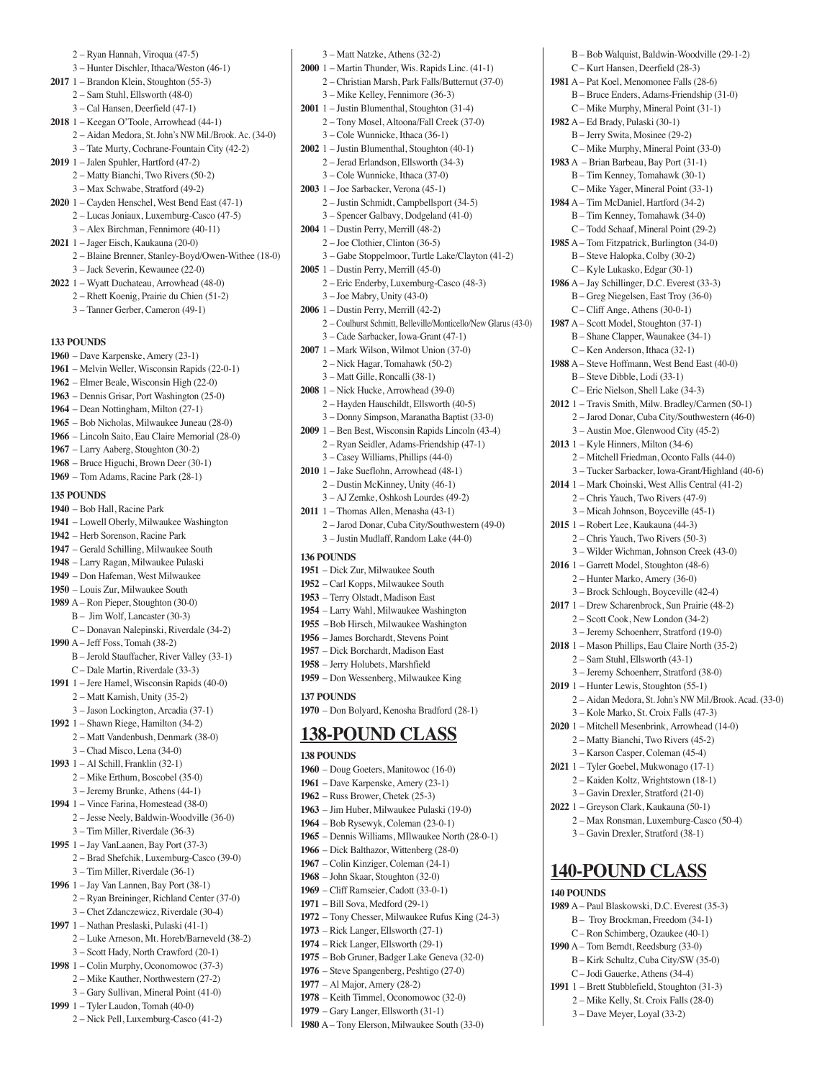2 – Ryan Hannah, Viroqua (47-5)

- 3 Hunter Dischler, Ithaca/Weston (46-1)
- **2017** 1 Brandon Klein, Stoughton (55-3)
	- 2 Sam Stuhl, Ellsworth (48-0)
	- 3 Cal Hansen, Deerfield (47-1)
- **2018** 1 Keegan O'Toole, Arrowhead (44-1)
	- 2 Aidan Medora, St. John's NW Mil./Brook. Ac. (34-0) 3 – Tate Murty, Cochrane-Fountain City (42-2)
- **2019** 1 Jalen Spuhler, Hartford (47-2)
- 2 Matty Bianchi, Two Rivers (50-2)
	- 3 Max Schwabe, Stratford (49-2)
- **2020** 1 Cayden Henschel, West Bend East (47-1) 2 – Lucas Joniaux, Luxemburg-Casco (47-5) 3 – Alex Birchman, Fennimore (40-11)
- **2021** 1 Jager Eisch, Kaukauna (20-0)
	- 2 Blaine Brenner, Stanley-Boyd/Owen-Withee (18-0) 3 – Jack Severin, Kewaunee (22-0)
- **2022** 1 Wyatt Duchateau, Arrowhead (48-0)
	- 2 Rhett Koenig, Prairie du Chien (51-2)
	- 3 Tanner Gerber, Cameron (49-1)

#### **133 POUNDS**

- **1960**  Dave Karpenske, Amery (23-1)
- **1961** Melvin Weller, Wisconsin Rapids (22-0-1)
- **1962** Elmer Beale, Wisconsin High (22-0)
- **1963** Dennis Grisar, Port Washington (25-0)
- **1964** Dean Nottingham, Milton (27-1)
- **1965** Bob Nicholas, Milwaukee Juneau (28-0)
- **1966** Lincoln Saito, Eau Claire Memorial (28-0)
- **1967** Larry Aaberg, Stoughton (30-2)
- **1968** Bruce Higuchi, Brown Deer (30-1)
- **1969** Tom Adams, Racine Park (28-1)

#### **135 POUNDS**

- **1940** Bob Hall, Racine Park
- **1941** Lowell Oberly, Milwaukee Washington
- **1942** Herb Sorenson, Racine Park
- **1947** Gerald Schilling, Milwaukee South
- **1948** Larry Ragan, Milwaukee Pulaski
- **1949** Don Hafeman, West Milwaukee
- **1950** Louis Zur, Milwaukee South
- **1989** A Ron Pieper, Stoughton (30-0)
	- B Jim Wolf, Lancaster (30-3)
- C Donavan Nalepinski, Riverdale (34-2)
- **1990** A Jeff Foss, Tomah (38-2)
	- B Jerold Stauffacher, River Valley (33-1) C – Dale Martin, Riverdale (33-3)
- **1991** 1 Jere Hamel, Wisconsin Rapids (40-0)
	- 2 Matt Kamish, Unity (35-2)
	- 3 Jason Lockington, Arcadia (37-1)
- **1992** 1 Shawn Riege, Hamilton (34-2) 2 – Matt Vandenbush, Denmark (38-0)
	- 3 Chad Misco, Lena (34-0)
- **1993** 1 Al Schill, Franklin (32-1) 2 – Mike Erthum, Boscobel (35-0)
- 3 Jeremy Brunke, Athens (44-1) **1994** 1 – Vince Farina, Homestead (38-0)
- 2 Jesse Neely, Baldwin-Woodville (36-0)
- 3 Tim Miller, Riverdale (36-3)
- **1995** 1 Jay VanLaanen, Bay Port (37-3)
	- 2 Brad Shefchik, Luxemburg-Casco (39-0)
- 3 Tim Miller, Riverdale (36-1)
- **1996** 1 Jay Van Lannen, Bay Port (38-1)
	- 2 Ryan Breininger, Richland Center (37-0) 3 – Chet Zdanczewicz, Riverdale (30-4)
- **1997** 1 Nathan Preslaski, Pulaski (41-1)
- 2 Luke Arneson, Mt. Horeb/Barneveld (38-2) 3 – Scott Hady, North Crawford (20-1)
- **1998** 1 Colin Murphy, Oconomowoc (37-3)
- 2 Mike Kauther, Northwestern (27-2)
- 3 Gary Sullivan, Mineral Point (41-0)
- **1999** 1 Tyler Laudon, Tomah (40-0)
	- 2 Nick Pell, Luxemburg-Casco (41-2)
- 3 Matt Natzke, Athens (32-2)
- **2000** 1 Martin Thunder, Wis. Rapids Linc. (41-1) 2 – Christian Marsh, Park Falls/Butternut (37-0) 3 – Mike Kelley, Fennimore (36-3)

B – Bob Walquist, Baldwin-Woodville (29-1-2)

 C – Kurt Hansen, Deerfield (28-3) **1981** A – Pat Koel, Menomonee Falls (28-6) B – Bruce Enders, Adams-Friendship (31-0) C – Mike Murphy, Mineral Point (31-1)

**1982** A – Ed Brady, Pulaski (30-1) B – Jerry Swita, Mosinee (29-2) C – Mike Murphy, Mineral Point (33-0) **1983** A – Brian Barbeau, Bay Port (31-1) B – Tim Kenney, Tomahawk (30-1) C – Mike Yager, Mineral Point (33-1) **1984** A – Tim McDaniel, Hartford (34-2) B – Tim Kenney, Tomahawk (34-0) C – Todd Schaaf, Mineral Point (29-2) **1985** A – Tom Fitzpatrick, Burlington (34-0) B – Steve Halopka, Colby (30-2) C – Kyle Lukasko, Edgar (30-1) **1986** A – Jay Schillinger, D.C. Everest (33-3) B – Greg Niegelsen, East Troy (36-0) C – Cliff Ange, Athens (30-0-1) **1987** A – Scott Model, Stoughton (37-1) B – Shane Clapper, Waunakee (34-1) C – Ken Anderson, Ithaca (32-1) **1988** A – Steve Hoffmann, West Bend East (40-0) B – Steve Dibble, Lodi (33-1) C – Eric Nielson, Shell Lake (34-3) **2012** 1 – Travis Smith, Milw. Bradley/Carmen (50-1) 2 – Jarod Donar, Cuba City/Southwestern (46-0) 3 – Austin Moe, Glenwood City (45-2)

**2013** 1 – Kyle Hinners, Milton (34-6)

**2016** 1 – Garrett Model, Stoughton (48-6) 2 – Hunter Marko, Amery (36-0) 3 – Brock Schlough, Boyceville (42-4) **2017** 1 – Drew Scharenbrock, Sun Prairie (48-2) 2 – Scott Cook, New London (34-2) 3 – Jeremy Schoenherr, Stratford (19-0) **2018** 1 – Mason Phillips, Eau Claire North (35-2) 2 – Sam Stuhl, Ellsworth (43-1) 3 – Jeremy Schoenherr, Stratford (38-0) **2019** 1 – Hunter Lewis, Stoughton (55-1)

 2 – Mitchell Friedman, Oconto Falls (44-0) 3 – Tucker Sarbacker, Iowa-Grant/Highland (40-6) **2014** 1 – Mark Choinski, West Allis Central (41-2) 2 – Chris Yauch, Two Rivers (47-9) 3 – Micah Johnson, Boyceville (45-1) **2015** 1 – Robert Lee, Kaukauna (44-3) 2 – Chris Yauch, Two Rivers (50-3) 3 – Wilder Wichman, Johnson Creek (43-0)

2 – Aidan Medora, St. John's NW Mil./Brook. Acad. (33-0)

 3 – Kole Marko, St. Croix Falls (47-3) **2020** 1 – Mitchell Mesenbrink, Arrowhead (14-0) 2 – Matty Bianchi, Two Rivers (45-2) 3 – Karson Casper, Coleman (45-4) **2021** 1 – Tyler Goebel, Mukwonago (17-1) 2 – Kaiden Koltz, Wrightstown (18-1) 3 – Gavin Drexler, Stratford (21-0) **2022** 1 – Greyson Clark, Kaukauna (50-1)

> 2 – Max Ronsman, Luxemburg-Casco (50-4) 3 – Gavin Drexler, Stratford (38-1)

**140-POUND CLASS**

**1989** A – Paul Blaskowski, D.C. Everest (35-3) B – Troy Brockman, Freedom (34-1) C – Ron Schimberg, Ozaukee (40-1) **1990** A – Tom Berndt, Reedsburg (33-0) B – Kirk Schultz, Cuba City/SW (35-0) C – Jodi Gauerke, Athens (34-4) **1991** 1 – Brett Stubblefield, Stoughton (31-3) 2 – Mike Kelly, St. Croix Falls (28-0) 3 – Dave Meyer, Loyal (33-2)

**140 POUNDS** 

- **2001** 1 Justin Blumenthal, Stoughton (31-4) 2 – Tony Mosel, Altoona/Fall Creek (37-0)
- 3 Cole Wunnicke, Ithaca (36-1) **2002** 1 – Justin Blumenthal, Stoughton (40-1)
- 2 Jerad Erlandson, Ellsworth (34-3) 3 – Cole Wunnicke, Ithaca (37-0)
- **2003** 1 Joe Sarbacker, Verona (45-1) 2 – Justin Schmidt, Campbellsport (34-5)
	- 3 Spencer Galbavy, Dodgeland (41-0)
- **2004** 1 Dustin Perry, Merrill (48-2) 2 – Joe Clothier, Clinton (36-5)
- 3 Gabe Stoppelmoor, Turtle Lake/Clayton (41-2) **2005** 1 – Dustin Perry, Merrill (45-0)
- 2 Eric Enderby, Luxemburg-Casco (48-3) 3 – Joe Mabry, Unity (43-0)
- **2006** 1 Dustin Perry, Merrill (42-2)
	- 2 Coulhurst Schmitt, Belleville/Monticello/New Glarus (43-0) 3 – Cade Sarbacker, Iowa-Grant (47-1)
- **2007** 1 Mark Wilson, Wilmot Union (37-0)
	- 2 Nick Hagar, Tomahawk (50-2)
	- 3 Matt Gille, Roncalli (38-1)
- **2008** 1 Nick Hucke, Arrowhead (39-0)
	- 2 Hayden Hauschildt, Ellsworth (40-5)
	- 3 Donny Simpson, Maranatha Baptist (33-0)
- **2009** 1 Ben Best, Wisconsin Rapids Lincoln (43-4) 2 – Ryan Seidler, Adams-Friendship (47-1)
- 3 Casey Williams, Phillips (44-0)
- **2010** 1 Jake Sueflohn, Arrowhead (48-1) 2 – Dustin McKinney, Unity (46-1)
- 3 AJ Zemke, Oshkosh Lourdes (49-2)
- **2011** 1 Thomas Allen, Menasha (43-1)
	- 2 Jarod Donar, Cuba City/Southwestern (49-0) 3 – Justin Mudlaff, Random Lake (44-0)

#### **136 POUNDS**

- **1951** Dick Zur, Milwaukee South
- **1952** Carl Kopps, Milwaukee South
- **1953** Terry Olstadt, Madison East
- **1954** Larry Wahl, Milwaukee Washington
- **1955** –Bob Hirsch, Milwaukee Washington
- **1956** James Borchardt, Stevens Point
- **1957** Dick Borchardt, Madison East
- **1958** Jerry Holubets, Marshfield
- **1959** Don Wessenberg, Milwaukee King

#### **137 POUNDS**

**1970** – Don Bolyard, Kenosha Bradford (28-1)

### **138-POUND CLASS**

- **138 POUNDS**
- **1960** Doug Goeters, Manitowoc (16-0) **1961** – Dave Karpenske, Amery (23-1)

**1972** – Tony Chesser, Milwaukee Rufus King (24-3)

 – Rick Langer, Ellsworth (27-1) – Rick Langer, Ellsworth (29-1) – Bob Gruner, Badger Lake Geneva (32-0) – Steve Spangenberg, Peshtigo (27-0) – Al Major, Amery (28-2) – Keith Timmel, Oconomowoc (32-0) – Gary Langer, Ellsworth (31-1) A – Tony Elerson, Milwaukee South (33-0)

 – Russ Brower, Chetek (25-3) – Jim Huber, Milwaukee Pulaski (19-0) – Bob Rysewyk, Coleman (23-0-1) – Dennis Williams, MIlwaukee North (28-0-1) – Dick Balthazor, Wittenberg (28-0) – Colin Kinziger, Coleman (24-1) – John Skaar, Stoughton (32-0) – Cliff Ramseier, Cadott (33-0-1) – Bill Sova, Medford (29-1)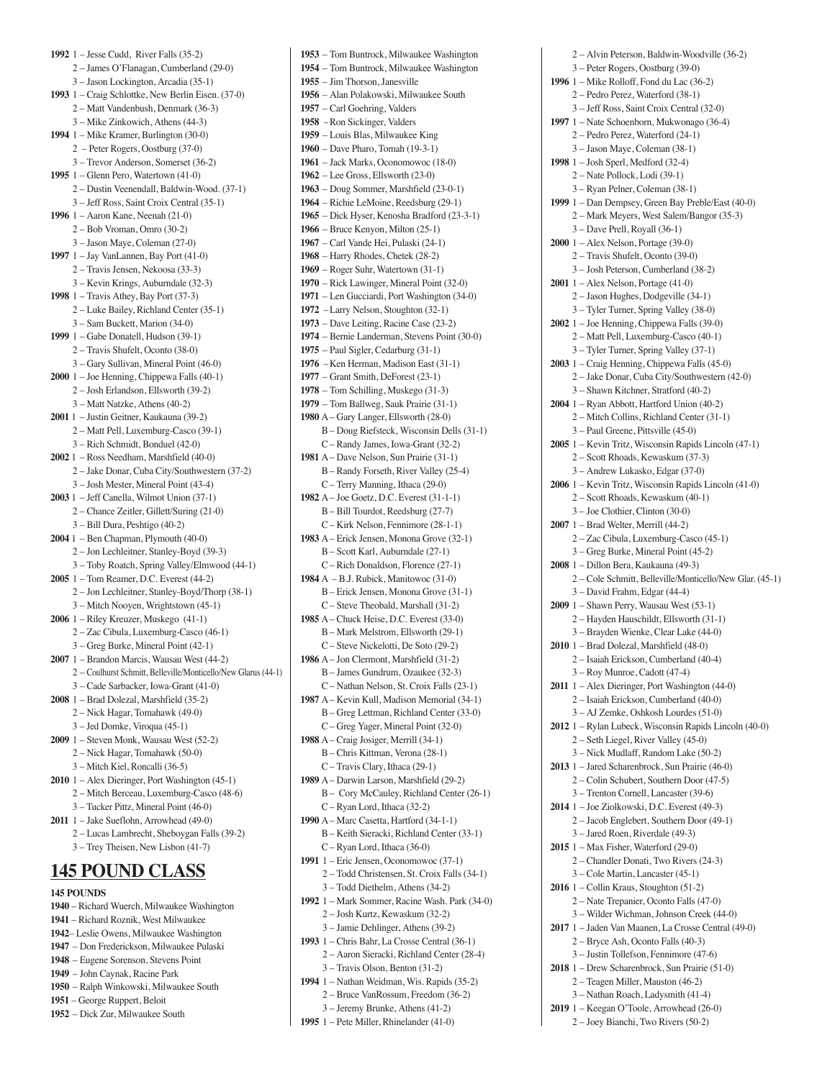**1992** 1 – Jesse Cudd, River Falls (35-2) 2 – James O'Flanagan, Cumberland (29-0) 3 – Jason Lockington, Arcadia (35-1) **1993** 1 – Craig Schlottke, New Berlin Eisen. (37-0) 2 – Matt Vandenbush, Denmark (36-3) 3 – Mike Zinkowich, Athens (44-3) **1994** 1 – Mike Kramer, Burlington (30-0) 2 – Peter Rogers, Oostburg (37-0) 3 – Trevor Anderson, Somerset (36-2) **1995** 1 – Glenn Pero, Watertown (41-0) 2 – Dustin Veenendall, Baldwin-Wood. (37-1) 3 – Jeff Ross, Saint Croix Central (35-1) **1996** 1 – Aaron Kane, Neenah (21-0) 2 – Bob Vroman, Omro (30-2) 3 – Jason Maye, Coleman (27-0) **1997** 1 – Jay VanLannen, Bay Port (41-0) 2 – Travis Jensen, Nekoosa (33-3) 3 – Kevin Krings, Auburndale (32-3) **1998** 1 – Travis Athey, Bay Port (37-3) 2 – Luke Bailey, Richland Center (35-1) 3 – Sam Buckett, Marion (34-0) **1999** 1 – Gabe Donatell, Hudson (39-1) 2 – Travis Shufelt, Oconto (38-0) 3 – Gary Sullivan, Mineral Point (46-0) **2000** 1 – Joe Henning, Chippewa Falls (40-1) 2 – Josh Erlandson, Ellsworth (39-2) 3 – Matt Natzke, Athens (40-2) **2001** 1 – Justin Geitner, Kaukauna (39-2) 2 – Matt Pell, Luxemburg-Casco (39-1) 3 – Rich Schmidt, Bonduel (42-0) **2002** 1 – Ross Needham, Marshfield (40-0) 2 – Jake Donar, Cuba City/Southwestern (37-2) 3 – Josh Mester, Mineral Point (43-4) **2003** 1 – Jeff Canella, Wilmot Union (37-1) 2 – Chance Zeitler, Gillett/Suring (21-0) 3 – Bill Dura, Peshtigo (40-2) **2004** 1 – Ben Chapman, Plymouth (40-0) 2 – Jon Lechleitner, Stanley-Boyd (39-3) 3 – Toby Roatch, Spring Valley/Elmwood (44-1) **2005** 1 – Tom Reamer, D.C. Everest (44-2) 2 – Jon Lechleitner, Stanley-Boyd/Thorp (38-1) 3 – Mitch Nooyen, Wrightstown (45-1) **2006** 1 – Riley Kreuzer, Muskego (41-1) 2 – Zac Cibula, Luxemburg-Casco (46-1) 3 – Greg Burke, Mineral Point (42-1) **2007** 1 – Brandon Marcis, Wausau West (44-2) 2 – Coulhurst Schmitt, Belleville/Monticello/New Glarus (44-1) 3 – Cade Sarbacker, Iowa-Grant (41-0) **2008** 1 – Brad Dolezal, Marshfield (35-2) 2 – Nick Hagar, Tomahawk (49-0) 3 – Jed Domke, Viroqua (45-1) **2009** 1 – Steven Monk, Wausau West (52-2) 2 – Nick Hagar, Tomahawk (50-0) 3 – Mitch Kiel, Roncalli (36-5) **2010** 1 – Alex Dieringer, Port Washington (45-1) 2 – Mitch Berceau, Luxemburg-Casco (48-6) 3 – Tucker Pittz, Mineral Point (46-0) **2011** 1 – Jake Sueflohn, Arrowhead (49-0) 2 – Lucas Lambrecht, Sheboygan Falls (39-2) 3 – Trey Theisen, New Lisbon (41-7) **145 POUND CLASS**

### **145 POUNDS**

- **1940**  Richard Wuerch, Milwaukee Washington
- **1941** Richard Roznik, West Milwaukee
- **1942** Leslie Owens, Milwaukee Washington
- **1947** Don Frederickson, Milwaukee Pulaski
- **1948** Eugene Sorenson, Stevens Point **1949** – John Caynak, Racine Park
- **1950** Ralph Winkowski, Milwaukee South
- **1951** George Ruppert, Beloit
- **1952** Dick Zur, Milwaukee South

**1953** – Tom Buntrock, Milwaukee Washington **1954** – Tom Buntrock, Milwaukee Washington **1955** – Jim Thorson, Janesville **1956** – Alan Polakowski, Milwaukee South **1957** – Carl Goehring, Valders **1958** –Ron Sickinger, Valders **1959** – Louis Blas, Milwaukee King **1960** – Dave Pharo, Tomah (19-3-1) **1961** – Jack Marks, Oconomowoc (18-0) **1962** – Lee Gross, Ellsworth (23-0) **1963** – Doug Sommer, Marshfield (23-0-1) **1964** – Richie LeMoine, Reedsburg (29-1) **1965** – Dick Hyser, Kenosha Bradford (23-3-1) **1966** – Bruce Kenyon, Milton (25-1) **1967** – Carl Vande Hei, Pulaski (24-1) **1968** – Harry Rhodes, Chetek (28-2) **1969** – Roger Suhr, Watertown (31-1) **1970** – Rick Lawinger, Mineral Point (32-0) **1971** – Len Gucciardi, Port Washington (34-0) **1972** –Larry Nelson, Stoughton (32-1) **1973** – Dave Leiting, Racine Case (23-2) **1974** – Bernie Landerman, Stevens Point (30-0) **1975** – Paul Sigler, Cedarburg (31-1) **1976** –Ken Herman, Madison East (31-1) **1977** – Grant Smith, DeForest (23-1) **1978** – Tom Schilling, Muskego (31-3) **1979** – Tom Ballweg, Sauk Prairie (31-1) **1980** A – Gary Langer, Ellsworth (28-0) B – Doug Riefsteck, Wisconsin Dells (31-1) C – Randy James, Iowa-Grant (32-2) **1981** A – Dave Nelson, Sun Prairie (31-1) B – Randy Forseth, River Valley (25-4) C – Terry Manning, Ithaca (29-0) **1982** A – Joe Goetz, D.C. Everest (31-1-1) B – Bill Tourdot, Reedsburg (27-7) C – Kirk Nelson, Fennimore (28-1-1) **1983** A – Erick Jensen, Monona Grove (32-1) B – Scott Karl, Auburndale (27-1) C – Rich Donaldson, Florence (27-1) **1984** A – B.J. Rubick, Manitowoc (31-0) B – Erick Jensen, Monona Grove (31-1) C – Steve Theobald, Marshall (31-2) **1985** A – Chuck Heise, D.C. Everest (33-0) B – Mark Melstrom, Ellsworth (29-1) C – Steve Nickelotti, De Soto (29-2) **1986** A – Jon Clermont, Marshfield (31-2) B – James Gundrum, Ozaukee (32-3) C – Nathan Nelson, St. Croix Falls (23-1) **1987** A – Kevin Kull, Madison Memorial (34-1) B – Greg Lettman, Richland Center (33-0) C – Greg Yager, Mineral Point (32-0) **1988** A – Craig Josiger, Merrill (34-1) B – Chris Kittman, Verona (28-1) C – Travis Clary, Ithaca (29-1) **1989** A – Darwin Larson, Marshfield (29-2) B – Cory McCauley, Richland Center (26-1)  $C = R$ van Lord, Ithaca (32-2) **1990** A – Marc Casetta, Hartford (34-1-1) B – Keith Sieracki, Richland Center (33-1) C – Ryan Lord, Ithaca (36-0) **1991** 1 – Eric Jensen, Oconomowoc (37-1) 2 – Todd Christensen, St. Croix Falls (34-1) 3 – Todd Diethelm, Athens (34-2) **1992** 1 – Mark Sommer, Racine Wash. Park (34-0) 2 – Josh Kurtz, Kewaskum (32-2) 3 – Jamie Dehlinger, Athens (39-2) **1993** 1 – Chris Bahr, La Crosse Central (36-1) 2 – Aaron Sieracki, Richland Center (28-4) 3 – Travis Olson, Benton (31-2) **1994** 1 – Nathan Weidman, Wis. Rapids (35-2)

- 2 Bruce VanRossum, Freedom (36-2) 3 – Jeremy Brunke, Athens (41-2)
- **1995** 1 Pete Miller, Rhinelander (41-0)

 2 – Alvin Peterson, Baldwin-Woodville (36-2) 3 – Peter Rogers, Oostburg (39-0) **1996** 1 – Mike Rolloff, Fond du Lac (36-2) 2 – Pedro Perez, Waterford (38-1) 3 – Jeff Ross, Saint Croix Central (32-0) **1997** 1 – Nate Schoenborn, Mukwonago (36-4) 2 – Pedro Perez, Waterford (24-1) 3 – Jason Maye, Coleman (38-1) **1998** 1 – Josh Sperl, Medford (32-4) 2 – Nate Pollock, Lodi (39-1) 3 – Ryan Pelner, Coleman (38-1) **1999** 1 – Dan Dempsey, Green Bay Preble/East (40-0) 2 – Mark Meyers, West Salem/Bangor (35-3) 3 – Dave Prell, Royall (36-1) **2000** 1 – Alex Nelson, Portage (39-0) 2 – Travis Shufelt, Oconto (39-0) 3 – Josh Peterson, Cumberland (38-2) **2001** 1 – Alex Nelson, Portage (41-0) 2 – Jason Hughes, Dodgeville (34-1) 3 – Tyler Turner, Spring Valley (38-0) **2002** 1 – Joe Henning, Chippewa Falls (39-0) 2 – Matt Pell, Luxemburg-Casco (40-1) 3 – Tyler Turner, Spring Valley (37-1) **2003** 1 – Craig Henning, Chippewa Falls (45-0) 2 – Jake Donar, Cuba City/Southwestern (42-0) 3 – Shawn Kitchner, Stratford (40-2) **2004** 1 – Ryan Abbott, Hartford Union (40-2) 2 – Mitch Collins, Richland Center (31-1) 3 – Paul Greene, Pittsville (45-0) **2005** 1 – Kevin Tritz, Wisconsin Rapids Lincoln (47-1) 2 – Scott Rhoads, Kewaskum (37-3) 3 – Andrew Lukasko, Edgar (37-0) **2006** 1 – Kevin Tritz, Wisconsin Rapids Lincoln (41-0) 2 – Scott Rhoads, Kewaskum (40-1) 3 – Joe Clothier, Clinton (30-0) **2007** 1 – Brad Welter, Merrill (44-2) 2 – Zac Cibula, Luxemburg-Casco (45-1) 3 – Greg Burke, Mineral Point (45-2) **2008** 1 – Dillon Bera, Kaukauna (49-3) 2 – Cole Schmitt, Belleville/Monticello/New Glar. (45-1) 3 – David Frahm, Edgar (44-4) **2009** 1 – Shawn Perry, Wausau West (53-1) 2 – Hayden Hauschildt, Ellsworth (31-1) 3 – Brayden Wienke, Clear Lake (44-0) **2010** 1 – Brad Dolezal, Marshfield (48-0) 2 – Isaiah Erickson, Cumberland (40-4) 3 – Roy Munroe, Cadott (47-4) **2011** 1 – Alex Dieringer, Port Washington (44-0) 2 – Isaiah Erickson, Cumberland (40-0) 3 – AJ Zemke, Oshkosh Lourdes (51-0) **2012** 1 – Rylan Lubeck, Wisconsin Rapids Lincoln (40-0) 2 – Seth Liegel, River Valley (45-0) 3 – Nick Mudlaff, Random Lake (50-2) **2013** 1 – Jared Scharenbrock, Sun Prairie (46-0) 2 – Colin Schubert, Southern Door (47-5) 3 – Trenton Cornell, Lancaster (39-6) **2014** 1 – Joe Ziolkowski, D.C. Everest (49-3) 2 – Jacob Englebert, Southern Door (49-1) 3 – Jared Roen, Riverdale (49-3) **2015** 1 – Max Fisher, Waterford (29-0) 2 – Chandler Donati, Two Rivers (24-3) 3 – Cole Martin, Lancaster (45-1) **2016** 1 – Collin Kraus, Stoughton (51-2) 2 – Nate Trepanier, Oconto Falls (47-0) 3 – Wilder Wichman, Johnson Creek (44-0) **2017** 1 – Jaden Van Maanen, La Crosse Central (49-0) 2 – Bryce Ash, Oconto Falls (40-3) 3 – Justin Tollefson, Fennimore (47-6) **2018** 1 – Drew Scharenbrock, Sun Prairie (51-0) 2 – Teagen Miller, Mauston (46-2) 3 – Nathan Roach, Ladysmith (41-4) **2019** 1 – Keegan O'Toole, Arrowhead (26-0) 2 – Joey Bianchi, Two Rivers (50-2)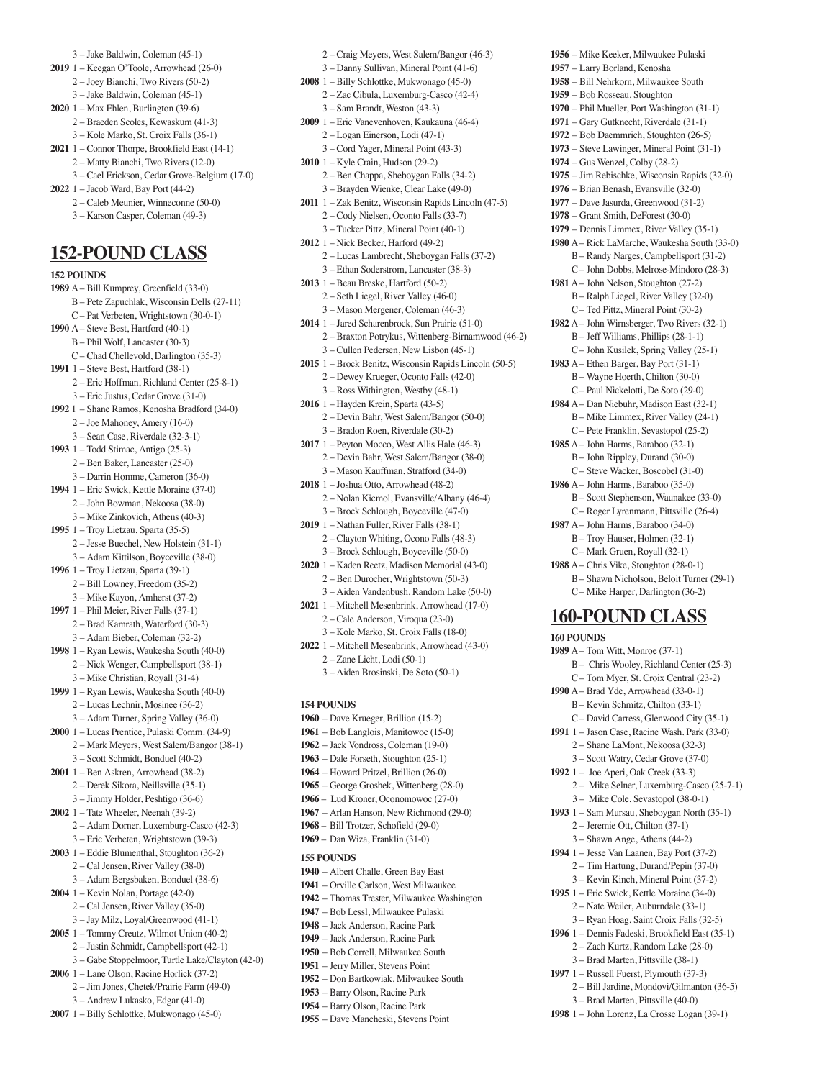- 3 Jake Baldwin, Coleman (45-1)
- **2019** 1 Keegan O'Toole, Arrowhead (26-0)
- 2 Joey Bianchi, Two Rivers (50-2) 3 – Jake Baldwin, Coleman (45-1)
- **2020** 1 Max Ehlen, Burlington (39-6)
	- 2 Braeden Scoles, Kewaskum (41-3)
- 3 Kole Marko, St. Croix Falls (36-1) **2021** 1 – Connor Thorpe, Brookfield East (14-1)
	- 2 Matty Bianchi, Two Rivers (12-0)
	- 3 Cael Erickson, Cedar Grove-Belgium (17-0)
- **2022** 1 Jacob Ward, Bay Port (44-2)
	- 2 Caleb Meunier, Winneconne (50-0)
	- 3 Karson Casper, Coleman (49-3)

### **152-POUND CLASS**

**152 POUNDS 1989** A – Bill Kumprey, Greenfield (33-0) B – Pete Zapuchlak, Wisconsin Dells (27-11) C – Pat Verbeten, Wrightstown (30-0-1) **1990** A – Steve Best, Hartford (40-1) B – Phil Wolf, Lancaster (30-3) C – Chad Chellevold, Darlington (35-3) **1991** 1 – Steve Best, Hartford (38-1) 2 – Eric Hoffman, Richland Center (25-8-1) 3 – Eric Justus, Cedar Grove (31-0) **1992** 1 – Shane Ramos, Kenosha Bradford (34-0) 2 – Joe Mahoney, Amery (16-0) 3 – Sean Case, Riverdale (32-3-1) **1993** 1 – Todd Stimac, Antigo (25-3) 2 – Ben Baker, Lancaster (25-0) 3 – Darrin Homme, Cameron (36-0) **1994** 1 – Eric Swick, Kettle Moraine (37-0) 2 – John Bowman, Nekoosa (38-0) 3 – Mike Zinkovich, Athens (40-3) **1995** 1 – Troy Lietzau, Sparta (35-5) 2 – Jesse Buechel, New Holstein (31-1) 3 – Adam Kittilson, Boyceville (38-0) **1996** 1 – Troy Lietzau, Sparta (39-1) 2 – Bill Lowney, Freedom (35-2) 3 – Mike Kayon, Amherst (37-2) **1997** 1 – Phil Meier, River Falls (37-1) 2 – Brad Kamrath, Waterford (30-3) 3 – Adam Bieber, Coleman (32-2) **1998** 1 – Ryan Lewis, Waukesha South (40-0) 2 – Nick Wenger, Campbellsport (38-1) 3 – Mike Christian, Royall (31-4) **1999** 1 – Ryan Lewis, Waukesha South (40-0) 2 – Lucas Lechnir, Mosinee (36-2) 3 – Adam Turner, Spring Valley (36-0) **2000** 1 – Lucas Prentice, Pulaski Comm. (34-9) 2 – Mark Meyers, West Salem/Bangor (38-1) 3 – Scott Schmidt, Bonduel (40-2) **2001** 1 – Ben Askren, Arrowhead (38-2) 2 – Derek Sikora, Neillsville (35-1) 3 – Jimmy Holder, Peshtigo (36-6) **2002** 1 – Tate Wheeler, Neenah (39-2) 2 – Adam Dorner, Luxemburg-Casco (42-3) 3 – Eric Verbeten, Wrightstown (39-3) **2003** 1 – Eddie Blumenthal, Stoughton (36-2) 2 – Cal Jensen, River Valley (38-0) 3 – Adam Bergsbaken, Bonduel (38-6) **2004** 1 – Kevin Nolan, Portage (42-0) 2 – Cal Jensen, River Valley (35-0) 3 – Jay Milz, Loyal/Greenwood (41-1) **2005** 1 – Tommy Creutz, Wilmot Union (40-2) 2 – Justin Schmidt, Campbellsport (42-1) 3 – Gabe Stoppelmoor, Turtle Lake/Clayton (42-0) **2006** 1 – Lane Olson, Racine Horlick (37-2) 2 – Jim Jones, Chetek/Prairie Farm (49-0) 3 – Andrew Lukasko, Edgar (41-0) **2007** 1 – Billy Schlottke, Mukwonago (45-0)

- 2 Craig Meyers, West Salem/Bangor (46-3)
- 3 Danny Sullivan, Mineral Point (41-6)
- **2008** 1 Billy Schlottke, Mukwonago (45-0) 2 – Zac Cibula, Luxemburg-Casco (42-4) 3 – Sam Brandt, Weston (43-3)
- **2009** 1 Eric Vanevenhoven, Kaukauna (46-4) 2 – Logan Einerson, Lodi (47-1) 3 – Cord Yager, Mineral Point (43-3)
- **2010** 1 Kyle Crain, Hudson (29-2)
	- 2 Ben Chappa, Sheboygan Falls (34-2) 3 – Brayden Wienke, Clear Lake (49-0)
- **2011** 1 Zak Benitz, Wisconsin Rapids Lincoln (47-5) 2 – Cody Nielsen, Oconto Falls (33-7)
- 3 Tucker Pittz, Mineral Point (40-1)
- **2012** 1 Nick Becker, Harford (49-2) 2 – Lucas Lambrecht, Sheboygan Falls (37-2) 3 – Ethan Soderstrom, Lancaster (38-3)
- **2013** 1 Beau Breske, Hartford (50-2)
	- 2 Seth Liegel, River Valley (46-0)
- 3 Mason Mergener, Coleman (46-3)
- **2014** 1 Jared Scharenbrock, Sun Prairie (51-0) 2 – Braxton Potrykus, Wittenberg-Birnamwood (46-2)
- 3 Cullen Pedersen, New Lisbon (45-1) **2015** 1 – Brock Benitz, Wisconsin Rapids Lincoln (50-5)
- 2 Dewey Krueger, Oconto Falls (42-0) 3 – Ross Withington, Westby (48-1)
- **2016** 1 Hayden Krein, Sparta (43-5) 2 – Devin Bahr, West Salem/Bangor (50-0)
- 3 Bradon Roen, Riverdale (30-2) **2017** 1 – Peyton Mocco, West Allis Hale (46-3) 2 – Devin Bahr, West Salem/Bangor (38-0) 3 – Mason Kauffman, Stratford (34-0)
- **2018** 1 Joshua Otto, Arrowhead (48-2)
	- 2 Nolan Kicmol, Evansville/Albany (46-4)
- 3 Brock Schlough, Boyceville (47-0) **2019** 1 – Nathan Fuller, River Falls (38-1)
	- 2 Clayton Whiting, Ocono Falls (48-3)
	- 3 Brock Schlough, Boyceville (50-0)
- **2020** 1 Kaden Reetz, Madison Memorial (43-0) 2 – Ben Durocher, Wrightstown (50-3)
	- 3 Aiden Vandenbush, Random Lake (50-0)
- **2021** 1 Mitchell Mesenbrink, Arrowhead (17-0) 2 – Cale Anderson, Viroqua (23-0)
- 3 Kole Marko, St. Croix Falls (18-0) **2022** 1 – Mitchell Mesenbrink, Arrowhead (43-0) 2 – Zane Licht, Lodi (50-1)
	- 3 Aiden Brosinski, De Soto (50-1)

### **154 POUNDS**

- **1960** Dave Krueger, Brillion (15-2)
- **1961** Bob Langlois, Manitowoc (15-0)
- **1962** Jack Vondross, Coleman (19-0)
- **1963** Dale Forseth, Stoughton (25-1)
- **1964** Howard Pritzel, Brillion (26-0)
- **1965** George Groshek, Wittenberg (28-0)
- **1966** Lud Kroner, Oconomowoc (27-0)
- **1967** Arlan Hanson, New Richmond (29-0)
- **1968** Bill Trotzer, Schofield (29-0)
- **1969** Dan Wiza, Franklin (31-0)

### **155 POUNDS**

- **1940** Albert Challe, Green Bay East
- **1941** Orville Carlson, West Milwaukee
- **1942** Thomas Trester, Milwaukee Washington
- **1947** Bob Lessl, Milwaukee Pulaski
- **1948** Jack Anderson, Racine Park
- **1949** Jack Anderson, Racine Park
- **1950** Bob Correll, Milwaukee South **1951** – Jerry Miller, Stevens Point
- 
- **1952** Don Bartkowiak, Milwaukee South
- **1953** Barry Olson, Racine Park
- **1954** Barry Olson, Racine Park **1955** – Dave Mancheski, Stevens Point
- **1956** Mike Keeker, Milwaukee Pulaski
- **1957** Larry Borland, Kenosha
- **1958**  Bill Nehrkorn, Milwaukee South
- **1959** Bob Rosseau, Stoughton
- **1970** Phil Mueller, Port Washington (31-1)
- **1971** Gary Gutknecht, Riverdale (31-1)
- **1972** Bob Daemmrich, Stoughton (26-5)
- **1973** Steve Lawinger, Mineral Point (31-1)
- **1974** Gus Wenzel, Colby (28-2)
- **1975** Jim Rebischke, Wisconsin Rapids (32-0)
- **1976** Brian Benash, Evansville (32-0)
- **1977** Dave Jasurda, Greenwood (31-2)
- **1978** Grant Smith, DeForest (30-0)
- **1979** Dennis Limmex, River Valley (35-1) **1980** A – Rick LaMarche, Waukesha South (33-0) B – Randy Narges, Campbellsport (31-2) C – John Dobbs, Melrose-Mindoro (28-3)
- **1981** A John Nelson, Stoughton (27-2) B – Ralph Liegel, River Valley (32-0) C – Ted Pittz, Mineral Point (30-2)
- **1982** A John Wirnsberger, Two Rivers (32-1) B – Jeff Williams, Phillips (28-1-1) C – John Kusilek, Spring Valley (25-1)
- **1983** A Ethen Barger, Bay Port (31-1) B – Wayne Hoerth, Chilton (30-0)
- C Paul Nickelotti, De Soto (29-0) **1984** A – Dan Niebuhr, Madison East (32-1)
- B Mike Limmex, River Valley (24-1) C – Pete Franklin, Sevastopol (25-2)
- **1985** A John Harms, Baraboo (32-1) B – John Rippley, Durand (30-0)
- C Steve Wacker, Boscobel (31-0)
- **1986** A John Harms, Baraboo (35-0) B – Scott Stephenson, Waunakee (33-0)
	- C Roger Lyrenmann, Pittsville (26-4)
- **1987** A John Harms, Baraboo (34-0) B – Troy Hauser, Holmen (32-1) C – Mark Gruen, Royall (32-1)
- **1988** A Chris Vike, Stoughton (28-0-1) B – Shawn Nicholson, Beloit Turner (29-1) C – Mike Harper, Darlington (36-2)

### **160-POUND CLASS**

### **160 POUNDS**

- **1989** A Tom Witt, Monroe (37-1) B – Chris Wooley, Richland Center (25-3)
- C Tom Myer, St. Croix Central (23-2)
- **1990** A Brad Yde, Arrowhead (33-0-1)
	- B Kevin Schmitz, Chilton (33-1)
- C David Carress, Glenwood City (35-1)
- **1991** 1 Jason Case, Racine Wash. Park (33-0)
	- 2 Shane LaMont, Nekoosa (32-3)
- 3 Scott Watry, Cedar Grove (37-0) **1992** 1 – Joe Aperi, Oak Creek (33-3)
	- 2 Mike Selner, Luxemburg-Casco (25-7-1)

 2 – Bill Jardine, Mondovi/Gilmanton (36-5) 3 – Brad Marten, Pittsville (40-0) **1998** 1 – John Lorenz, La Crosse Logan (39-1)

 3 – Mike Cole, Sevastopol (38-0-1) **1993** 1 – Sam Mursau, Sheboygan North (35-1)

 2 – Jeremie Ott, Chilton (37-1) 3 – Shawn Ange, Athens (44-2) **1994** 1 – Jesse Van Laanen, Bay Port (37-2) 2 – Tim Hartung, Durand/Pepin (37-0) 3 – Kevin Kinch, Mineral Point (37-2) **1995** 1 – Eric Swick, Kettle Moraine (34-0) 2 – Nate Weiler, Auburndale (33-1) 3 – Ryan Hoag, Saint Croix Falls (32-5) **1996** 1 – Dennis Fadeski, Brookfield East (35-1) 2 – Zach Kurtz, Random Lake (28-0) 3 – Brad Marten, Pittsville (38-1) **1997** 1 – Russell Fuerst, Plymouth (37-3)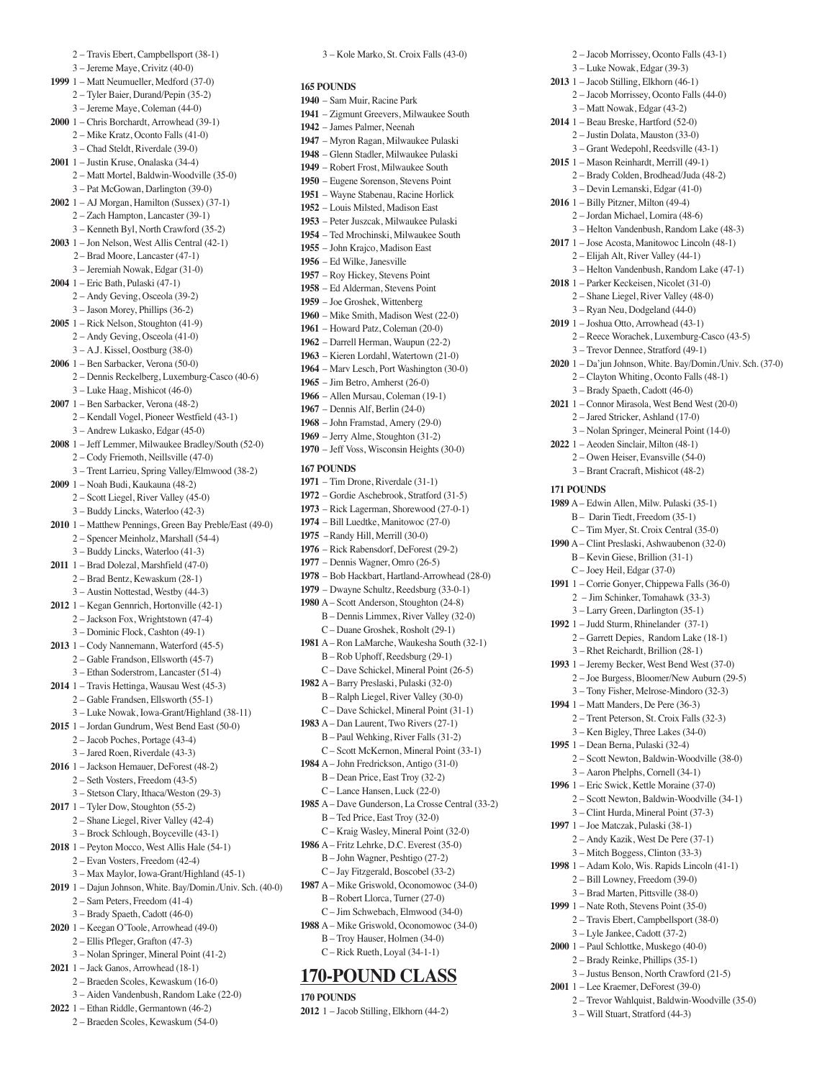2 – Travis Ebert, Campbellsport (38-1) 3 – Jereme Maye, Crivitz (40-0) **1999** 1 – Matt Neumueller, Medford (37-0) 2 – Tyler Baier, Durand/Pepin (35-2) 3 – Jereme Maye, Coleman (44-0) **2000** 1 – Chris Borchardt, Arrowhead (39-1) 2 – Mike Kratz, Oconto Falls (41-0) 3 – Chad Steldt, Riverdale (39-0) **2001** 1 – Justin Kruse, Onalaska (34-4) 2 – Matt Mortel, Baldwin-Woodville (35-0) 3 – Pat McGowan, Darlington (39-0) **2002** 1 – AJ Morgan, Hamilton (Sussex) (37-1) 2 – Zach Hampton, Lancaster (39-1) 3 – Kenneth Byl, North Crawford (35-2) **2003** 1 – Jon Nelson, West Allis Central (42-1) 2– Brad Moore, Lancaster (47-1) 3 – Jeremiah Nowak, Edgar (31-0) **2004** 1 – Eric Bath, Pulaski (47-1) 2 – Andy Geving, Osceola (39-2) 3 – Jason Morey, Phillips (36-2) **2005** 1 – Rick Nelson, Stoughton (41-9) 2 – Andy Geving, Osceola (41-0) 3 – A.J. Kissel, Oostburg (38-0) **2006** 1 – Ben Sarbacker, Verona (50-0) 2 – Dennis Reckelberg, Luxemburg-Casco (40-6) 3 – Luke Haag, Mishicot (46-0) **2007** 1 – Ben Sarbacker, Verona (48-2) 2 – Kendall Vogel, Pioneer Westfield (43-1) 3 – Andrew Lukasko, Edgar (45-0) **2008** 1 – Jeff Lemmer, Milwaukee Bradley/South (52-0) 2 – Cody Friemoth, Neillsville (47-0) 3 – Trent Larrieu, Spring Valley/Elmwood (38-2) **2009** 1 – Noah Budi, Kaukauna (48-2) 2 – Scott Liegel, River Valley (45-0) 3 – Buddy Lincks, Waterloo (42-3) **2010** 1 – Matthew Pennings, Green Bay Preble/East (49-0) 2 – Spencer Meinholz, Marshall (54-4) 3 – Buddy Lincks, Waterloo (41-3) **2011** 1 – Brad Dolezal, Marshfield (47-0) 2 – Brad Bentz, Kewaskum (28-1) 3 – Austin Nottestad, Westby (44-3) **2012** 1 – Kegan Gennrich, Hortonville (42-1) 2 – Jackson Fox, Wrightstown (47-4) 3 – Dominic Flock, Cashton (49-1) **2013** 1 – Cody Nannemann, Waterford (45-5) 2 – Gable Frandson, Ellsworth (45-7) 3 – Ethan Soderstrom, Lancaster (51-4) **2014** 1 – Travis Hettinga, Wausau West (45-3) 2 – Gable Frandsen, Ellsworth (55-1) 3 – Luke Nowak, Iowa-Grant/Highland (38-11) **2015** 1 – Jordan Gundrum, West Bend East (50-0) 2 – Jacob Poches, Portage (43-4) 3 – Jared Roen, Riverdale (43-3) **2016** 1 – Jackson Hemauer, DeForest (48-2) 2 – Seth Vosters, Freedom (43-5) 3 – Stetson Clary, Ithaca/Weston (29-3) **2017** 1 – Tyler Dow, Stoughton (55-2) 2 – Shane Liegel, River Valley (42-4) 3 – Brock Schlough, Boyceville (43-1) **2018** 1 – Peyton Mocco, West Allis Hale (54-1) 2 – Evan Vosters, Freedom (42-4) 3 – Max Maylor, Iowa-Grant/Highland (45-1) **2019** 1 – Dajun Johnson, White. Bay/Domin./Univ. Sch. (40-0) 2 – Sam Peters, Freedom (41-4) 3 – Brady Spaeth, Cadott (46-0) **2020** 1 – Keegan O'Toole, Arrowhead (49-0) 2 – Ellis Pfleger, Grafton (47-3) 3 – Nolan Springer, Mineral Point (41-2) **2021** 1 – Jack Ganos, Arrowhead (18-1) 2 – Braeden Scoles, Kewaskum (16-0) 3 – Aiden Vandenbush, Random Lake (22-0) **2022** 1 – Ethan Riddle, Germantown (46-2)

2 – Braeden Scoles, Kewaskum (54-0)

**165 POUNDS**  – Sam Muir, Racine Park – Zigmunt Greevers, Milwaukee South – James Palmer, Neenah – Myron Ragan, Milwaukee Pulaski – Glenn Stadler, Milwaukee Pulaski – Robert Frost, Milwaukee South – Eugene Sorenson, Stevens Point – Wayne Stabenau, Racine Horlick – Louis Milsted, Madison East – Peter Juszcak, Milwaukee Pulaski – Ted Mrochinski, Milwaukee South – John Krajco, Madison East – Ed Wilke, Janesville – Roy Hickey, Stevens Point – Ed Alderman, Stevens Point – Joe Groshek, Wittenberg – Mike Smith, Madison West (22-0) – Howard Patz, Coleman (20-0) – Darrell Herman, Waupun (22-2) – Kieren Lordahl, Watertown (21-0) – Marv Lesch, Port Washington (30-0) – Jim Betro, Amherst (26-0) – Allen Mursau, Coleman (19-1) – Dennis Alf, Berlin (24-0) – John Framstad, Amery (29-0) – Jerry Alme, Stoughton (31-2) – Jeff Voss, Wisconsin Heights (30-0) **167 POUNDS**  – Tim Drone, Riverdale (31-1) – Gordie Aschebrook, Stratford (31-5) – Rick Lagerman, Shorewood (27-0-1) – Bill Luedtke, Manitowoc (27-0) –Randy Hill, Merrill (30-0) – Rick Rabensdorf, DeForest (29-2) – Dennis Wagner, Omro (26-5) – Bob Hackbart, Hartland-Arrowhead (28-0) – Dwayne Schultz, Reedsburg (33-0-1) A – Scott Anderson, Stoughton (24-8) B – Dennis Limmex, River Valley (32-0) C – Duane Groshek, Rosholt (29-1) A – Ron LaMarche, Waukesha South (32-1) B – Rob Uphoff, Reedsburg (29-1) C – Dave Schickel, Mineral Point (26-5) A – Barry Preslaski, Pulaski (32-0) B – Ralph Liegel, River Valley (30-0) C – Dave Schickel, Mineral Point (31-1) A – Dan Laurent, Two Rivers (27-1) B – Paul Wehking, River Falls (31-2) C – Scott McKernon, Mineral Point (33-1) A – John Fredrickson, Antigo (31-0) B – Dean Price, East Troy (32-2) C – Lance Hansen, Luck (22-0) A – Dave Gunderson, La Crosse Central (33-2) B – Ted Price, East Troy (32-0) C – Kraig Wasley, Mineral Point (32-0) A – Fritz Lehrke, D.C. Everest (35-0) B – John Wagner, Peshtigo (27-2) C – Jay Fitzgerald, Boscobel (33-2) A – Mike Griswold, Oconomowoc (34-0) B – Robert Llorca, Turner (27-0) C – Jim Schwebach, Elmwood (34-0) A – Mike Griswold, Oconomowoc (34-0)

3 – Kole Marko, St. Croix Falls (43-0)

 B – Troy Hauser, Holmen (34-0) C – Rick Rueth, Loyal (34-1-1)

### **170-POUND CLASS**

**170 POUNDS 2012** 1 – Jacob Stilling, Elkhorn (44-2)

 2 – Jacob Morrissey, Oconto Falls (43-1) 3 – Luke Nowak, Edgar (39-3) **2013** 1 – Jacob Stilling, Elkhorn (46-1) 2 – Jacob Morrissey, Oconto Falls (44-0) 3 – Matt Nowak, Edgar (43-2) **2014** 1 – Beau Breske, Hartford (52-0) 2 – Justin Dolata, Mauston (33-0) 3 – Grant Wedepohl, Reedsville (43-1) **2015** 1 – Mason Reinhardt, Merrill (49-1) 2 – Brady Colden, Brodhead/Juda (48-2) 3 – Devin Lemanski, Edgar (41-0) **2016** 1 – Billy Pitzner, Milton (49-4) 2 – Jordan Michael, Lomira (48-6) 3 – Helton Vandenbush, Random Lake (48-3) **2017** 1 – Jose Acosta, Manitowoc Lincoln (48-1) 2 – Elijah Alt, River Valley (44-1) 3 – Helton Vandenbush, Random Lake (47-1) **2018** 1 – Parker Keckeisen, Nicolet (31-0) 2 – Shane Liegel, River Valley (48-0) 3 – Ryan Neu, Dodgeland (44-0) **2019** 1 – Joshua Otto, Arrowhead (43-1) 2 – Reece Worachek, Luxemburg-Casco (43-5) 3 – Trevor Dennee, Stratford (49-1) **2020** 1 – Da'jun Johnson, White. Bay/Domin./Univ. Sch. (37-0) 2 – Clayton Whiting, Oconto Falls (48-1) 3 – Brady Spaeth, Cadott (46-0) **2021** 1 – Connor Mirasola, West Bend West (20-0) 2 – Jared Stricker, Ashland (17-0) 3 – Nolan Springer, Meineral Point (14-0) **2022** 1 – Aeoden Sinclair, Milton (48-1) 2 – Owen Heiser, Evansville (54-0) 3 – Brant Cracraft, Mishicot (48-2) **171 POUNDS 1989** A – Edwin Allen, Milw. Pulaski (35-1) B – Darin Tiedt, Freedom (35-1) C – Tim Myer, St. Croix Central (35-0) **1990** A – Clint Preslaski, Ashwaubenon (32-0) B – Kevin Giese, Brillion (31-1) C – Joey Heil, Edgar (37-0) **1991** 1 – Corrie Gonyer, Chippewa Falls (36-0) 2 – Jim Schinker, Tomahawk (33-3) 3 – Larry Green, Darlington (35-1) **1992** 1 – Judd Sturm, Rhinelander (37-1) 2 – Garrett Depies, Random Lake (18-1) 3 – Rhet Reichardt, Brillion (28-1) **1993** 1 – Jeremy Becker, West Bend West (37-0) 2 – Joe Burgess, Bloomer/New Auburn (29-5) 3 – Tony Fisher, Melrose-Mindoro (32-3) **1994** 1 – Matt Manders, De Pere (36-3) 2 – Trent Peterson, St. Croix Falls (32-3) 3 – Ken Bigley, Three Lakes (34-0) **1995** 1 – Dean Berna, Pulaski (32-4) 2 – Scott Newton, Baldwin-Woodville (38-0) 3 – Aaron Phelphs, Cornell (34-1) **1996** 1 – Eric Swick, Kettle Moraine (37-0) 2 – Scott Newton, Baldwin-Woodville (34-1) 3 – Clint Hurda, Mineral Point (37-3) **1997** 1 – Joe Matczak, Pulaski (38-1) 2 – Andy Kazik, West De Pere (37-1) 3 – Mitch Boggess, Clinton (33-3) **1998** 1 – Adam Kolo, Wis. Rapids Lincoln (41-1) 2 – Bill Lowney, Freedom (39-0) 3 – Brad Marten, Pittsville (38-0) **1999** 1 – Nate Roth, Stevens Point (35-0) 2 – Travis Ebert, Campbellsport (38-0) 3 – Lyle Jankee, Cadott (37-2) **2000** 1 – Paul Schlottke, Muskego (40-0) 2 – Brady Reinke, Phillips (35-1) 3 – Justus Benson, North Crawford (21-5) **2001** 1 – Lee Kraemer, DeForest (39-0) 2 – Trevor Wahlquist, Baldwin-Woodville (35-0)

3 – Will Stuart, Stratford (44-3)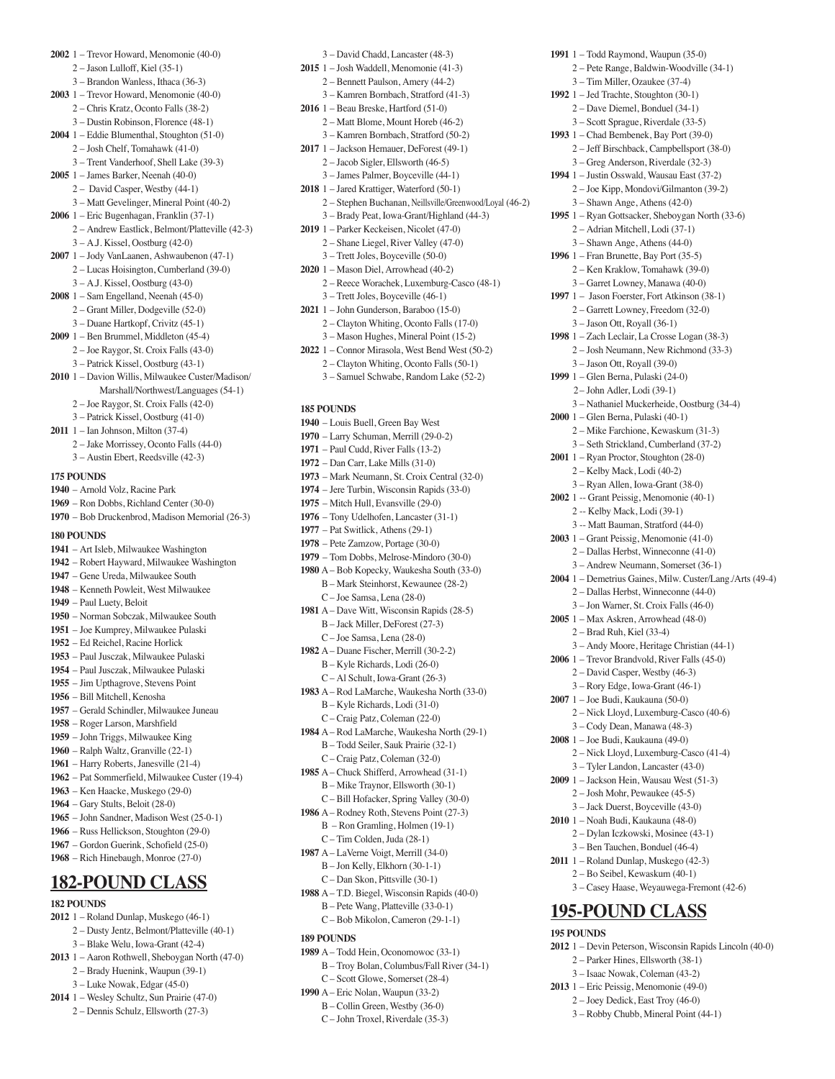- **2002** 1 Trevor Howard, Menomonie (40-0) 2 – Jason Lulloff, Kiel (35-1)
	- 3 Brandon Wanless, Ithaca (36-3)
- **2003** 1 Trevor Howard, Menomonie (40-0) 2 – Chris Kratz, Oconto Falls (38-2)
	- 3 Dustin Robinson, Florence (48-1)
- **2004** 1 Eddie Blumenthal, Stoughton (51-0) 2 – Josh Chelf, Tomahawk (41-0)
- 3 Trent Vanderhoof, Shell Lake (39-3)
- **2005** 1 James Barker, Neenah (40-0)
	- 2 David Casper, Westby (44-1)
	- 3 Matt Gevelinger, Mineral Point (40-2)
- **2006** 1 Eric Bugenhagan, Franklin (37-1)
	- 2 Andrew Eastlick, Belmont/Platteville (42-3) 3 – A.J. Kissel, Oostburg (42-0)
- **2007** 1 Jody VanLaanen, Ashwaubenon (47-1) 2 – Lucas Hoisington, Cumberland (39-0)
	- 3 A.J. Kissel, Oostburg (43-0)
- **2008** 1 Sam Engelland, Neenah (45-0)
	- 2 Grant Miller, Dodgeville (52-0)
		- 3 Duane Hartkopf, Crivitz (45-1)
- **2009** 1 Ben Brummel, Middleton (45-4) 2 – Joe Raygor, St. Croix Falls (43-0)
	- 3 Patrick Kissel, Oostburg (43-1)
- **2010** 1 Davion Willis, Milwaukee Custer/Madison/ Marshall/Northwest/Languages (54-1)
	- 2 Joe Raygor, St. Croix Falls (42-0)
	- 3 Patrick Kissel, Oostburg (41-0)
- **2011** 1 Ian Johnson, Milton (37-4)
	- 2 Jake Morrissey, Oconto Falls (44-0) 3 – Austin Ebert, Reedsville (42-3)
- **175 POUNDS**
- **1940** Arnold Volz, Racine Park
- **1969** Ron Dobbs, Richland Center (30-0)
- **1970** Bob Druckenbrod, Madison Memorial (26-3)

### **180 POUNDS**

- **1941** Art Isleb, Milwaukee Washington
- **1942** Robert Hayward, Milwaukee Washington
- **1947** Gene Ureda, Milwaukee South
- **1948** Kenneth Powleit, West Milwaukee
- **1949** Paul Luety, Beloit
- **1950** Norman Sobczak, Milwaukee South
- **1951** Joe Kumprey, Milwaukee Pulaski
- **1952** Ed Reichel, Racine Horlick
- **1953** Paul Jusczak, Milwaukee Pulaski **1954** – Paul Jusczak, Milwaukee Pulaski
- **1955** Jim Upthagrove, Stevens Point
- **1956** Bill Mitchell, Kenosha
- **1957** Gerald Schindler, Milwaukee Juneau
- **1958** Roger Larson, Marshfield
- **1959** John Triggs, Milwaukee King
- **1960** Ralph Waltz, Granville (22-1)
- **1961** Harry Roberts, Janesville (21-4)
- **1962** Pat Sommerfield, Milwaukee Custer (19-4)
- **1963** Ken Haacke, Muskego (29-0)
- **1964** Gary Stults, Beloit (28-0)
- **1965** John Sandner, Madison West (25-0-1)
- **1966** Russ Hellickson, Stoughton (29-0)
- **1967** Gordon Guerink, Schofield (25-0) **1968** – Rich Hinebaugh, Monroe (27-0)

## **182-POUND CLASS**

- **182 POUNDS**
- **2012** 1 Roland Dunlap, Muskego (46-1)
	- 2 Dusty Jentz, Belmont/Platteville (40-1) 3 – Blake Welu, Iowa-Grant (42-4)
- **2013** 1 Aaron Rothwell, Sheboygan North (47-0)
	- 2 Brady Huenink, Waupun (39-1)
	- 3 Luke Nowak, Edgar (45-0)
- **2014** 1 Wesley Schultz, Sun Prairie (47-0) 2 – Dennis Schulz, Ellsworth (27-3)
- 3 David Chadd, Lancaster (48-3)
- **2015** 1 Josh Waddell, Menomonie (41-3) 2 – Bennett Paulson, Amery (44-2) 3 – Kamren Bornbach, Stratford (41-3)
- **2016** 1 Beau Breske, Hartford (51-0) 2 – Matt Blome, Mount Horeb (46-2)
- 3 Kamren Bornbach, Stratford (50-2) **2017** 1 – Jackson Hemauer, DeForest (49-1)
	- 2 Jacob Sigler, Ellsworth (46-5)
- 3 James Palmer, Boyceville (44-1)
- **2018** 1 Jared Krattiger, Waterford (50-1) 2 – Stephen Buchanan, Neillsville/Greenwood/Loyal (46-2)

**1991** 1 – Todd Raymond, Waupun (35-0)

 3 – Jason Ott, Royall (39-0) **1999** 1 – Glen Berna, Pulaski (24-0) 2– John Adler, Lodi (39-1)

**2000** 1 – Glen Berna, Pulaski (40-1)

3 – Nathaniel Muckerheide, Oostburg (34-4)

 3 – Andy Moore, Heritage Christian (44-1) **2006** 1 – Trevor Brandvold, River Falls (45-0) 2 – David Casper, Westby (46-3) 3 – Rory Edge, Iowa-Grant (46-1) **2007** 1 – Joe Budi, Kaukauna (50-0)

 2 – Nick Lloyd, Luxemburg-Casco (40-6) 3 – Cody Dean, Manawa (48-3) **2008** 1 – Joe Budi, Kaukauna (49-0)

 2 – Nick Lloyd, Luxemburg-Casco (41-4) 3 – Tyler Landon, Lancaster (43-0) **2009** 1 – Jackson Hein, Wausau West (51-3) 2 – Josh Mohr, Pewaukee (45-5) 3 – Jack Duerst, Boyceville (43-0) **2010** 1 – Noah Budi, Kaukauna (48-0) 2 – Dylan Iczkowski, Mosinee (43-1) 3 – Ben Tauchen, Bonduel (46-4) **2011** 1 – Roland Dunlap, Muskego (42-3) 2 – Bo Seibel, Kewaskum (40-1)

3 – Casey Haase, Weyauwega-Fremont (42-6)

**2012** 1 – Devin Peterson, Wisconsin Rapids Lincoln (40-0)

**195-POUND CLASS**

 2 – Parker Hines, Ellsworth (38-1) 3 – Isaac Nowak, Coleman (43-2) **2013** 1 – Eric Peissig, Menomonie (49-0) 2 – Joey Dedick, East Troy (46-0) 3 – Robby Chubb, Mineral Point (44-1)

**195 POUNDS** 

 2 – Mike Farchione, Kewaskum (31-3) 3 – Seth Strickland, Cumberland (37-2) **2001** 1 – Ryan Proctor, Stoughton (28-0) 2 – Kelby Mack, Lodi (40-2) 3 – Ryan Allen, Iowa-Grant (38-0) **2002** 1 -- Grant Peissig, Menomonie (40-1) 2 -- Kelby Mack, Lodi (39-1) 3 -- Matt Bauman, Stratford (44-0) **2003** 1 – Grant Peissig, Menomonie (41-0) 2 – Dallas Herbst, Winneconne (41-0) 3 – Andrew Neumann, Somerset (36-1) **2004** 1 – Demetrius Gaines, Milw. Custer/Lang./Arts (49-4) 2 – Dallas Herbst, Winneconne (44-0) 3 – Jon Warner, St. Croix Falls (46-0) **2005** 1 – Max Askren, Arrowhead (48-0) 2 – Brad Ruh, Kiel (33-4)

 2 – Pete Range, Baldwin-Woodville (34-1) 3 – Tim Miller, Ozaukee (37-4) **1992** 1 – Jed Trachte, Stoughton (30-1) 2 – Dave Diemel, Bonduel (34-1) 3 – Scott Sprague, Riverdale (33-5) **1993** 1 – Chad Bembenek, Bay Port (39-0) 2 – Jeff Birschback, Campbellsport (38-0) 3 – Greg Anderson, Riverdale (32-3) **1994** 1 – Justin Osswald, Wausau East (37-2) 2 – Joe Kipp, Mondovi/Gilmanton (39-2) 3 – Shawn Ange, Athens (42-0) **1995** 1 – Ryan Gottsacker, Sheboygan North (33-6) 2 – Adrian Mitchell, Lodi (37-1) 3 – Shawn Ange, Athens (44-0) **1996** 1 – Fran Brunette, Bay Port (35-5) 2 – Ken Kraklow, Tomahawk (39-0) 3 – Garret Lowney, Manawa (40-0) **1997** 1 – Jason Foerster, Fort Atkinson (38-1) 2 – Garrett Lowney, Freedom (32-0) 3 – Jason Ott, Royall (36-1) **1998** 1 – Zach Leclair, La Crosse Logan (38-3) 2 – Josh Neumann, New Richmond (33-3)

- 3 Brady Peat, Iowa-Grant/Highland (44-3) **2019** 1 – Parker Keckeisen, Nicolet (47-0) 2 – Shane Liegel, River Valley (47-0)
- 3 Trett Joles, Boyceville (50-0) **2020** 1 – Mason Diel, Arrowhead (40-2)
- 2 Reece Worachek, Luxemburg-Casco (48-1) 3 – Trett Joles, Boyceville (46-1)
- **2021** 1 John Gunderson, Baraboo (15-0) 2 – Clayton Whiting, Oconto Falls (17-0)
- 3 Mason Hughes, Mineral Point (15-2) **2022** 1 – Connor Mirasola, West Bend West (50-2)
	- 2 Clayton Whiting, Oconto Falls (50-1)
	- 3 Samuel Schwabe, Random Lake (52-2)
	-

### **185 POUNDS**

- **1940** Louis Buell, Green Bay West
- **1970** Larry Schuman, Merrill (29-0-2)
- **1971** Paul Cudd, River Falls (13-2)
- **1972** Dan Carr, Lake Mills (31-0)
- **1973** Mark Neumann, St. Croix Central (32-0) **1974** – Jere Turbin, Wisconsin Rapids (33-0)
- **1975** Mitch Hull, Evansville (29-0)
- **1976** Tony Udelhofen, Lancaster (31-1)
- $1977$  Pat Switlick, Athens  $(29-1)$
- **1978** Pete Zamzow, Portage (30-0)
- **1979** Tom Dobbs, Melrose-Mindoro (30-0)
- **1980** A Bob Kopecky, Waukesha South (33-0) B – Mark Steinhorst, Kewaunee (28-2)
	- C Joe Samsa, Lena (28-0)
- **1981** A Dave Witt, Wisconsin Rapids (28-5) B – Jack Miller, DeForest (27-3) C – Joe Samsa, Lena (28-0)
- **1982** A Duane Fischer, Merrill (30-2-2) B – Kyle Richards, Lodi (26-0)
	- C Al Schult, Iowa-Grant (26-3)
- **1983** A Rod LaMarche, Waukesha North (33-0) B – Kyle Richards, Lodi (31-0)
	- C Craig Patz, Coleman (22-0)
- **1984** A Rod LaMarche, Waukesha North (29-1) B – Todd Seiler, Sauk Prairie (32-1) C – Craig Patz, Coleman (32-0)
- **1985** A Chuck Shifferd, Arrowhead (31-1) B – Mike Traynor, Ellsworth (30-1)
	- C Bill Hofacker, Spring Valley (30-0)
- **1986** A Rodney Roth, Stevens Point (27-3) B – Ron Gramling, Holmen (19-1) C – Tim Colden, Juda (28-1)
- **1987** A LaVerne Voigt, Merrill (34-0) B – Jon Kelly, Elkhorn (30-1-1)
	- C Dan Skon, Pittsville (30-1)
- **1988** A T.D. Biegel, Wisconsin Rapids (40-0) B – Pete Wang, Platteville (33-0-1)
	- C Bob Mikolon, Cameron (29-1-1)

**1989** A – Todd Hein, Oconomowoc (33-1) B – Troy Bolan, Columbus/Fall River (34-1) C – Scott Glowe, Somerset (28-4) **1990** A – Eric Nolan, Waupun (33-2) B – Collin Green, Westby (36-0) C – John Troxel, Riverdale (35-3)

### **189 POUNDS**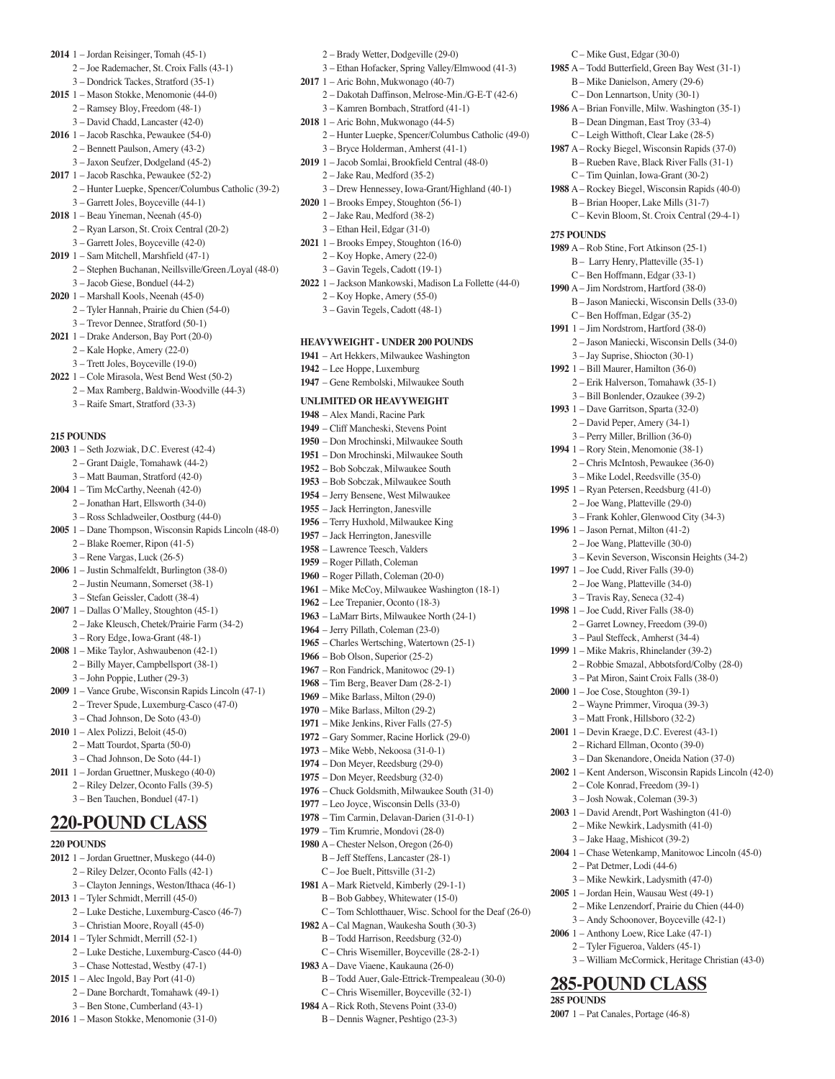- **2014** 1 Jordan Reisinger, Tomah (45-1)
	- 2 Joe Rademacher, St. Croix Falls (43-1)
	- 3 Dondrick Tackes, Stratford (35-1)
- **2015** 1 Mason Stokke, Menomonie (44-0)
	- 2 Ramsey Bloy, Freedom (48-1) 3 – David Chadd, Lancaster (42-0)
- **2016** 1 Jacob Raschka, Pewaukee (54-0)
- 2 Bennett Paulson, Amery (43-2)
- 3 Jaxon Seufzer, Dodgeland (45-2)
- **2017** 1 Jacob Raschka, Pewaukee (52-2)
	- 2 Hunter Luepke, Spencer/Columbus Catholic (39-2) 3 – Garrett Joles, Boyceville (44-1)
- **2018** 1 Beau Yineman, Neenah (45-0)
	- 2 Ryan Larson, St. Croix Central (20-2)
	- 3 Garrett Joles, Boyceville (42-0)
- **2019** 1 Sam Mitchell, Marshfield (47-1)
	- 2 Stephen Buchanan, Neillsville/Green./Loyal (48-0)
	- 3 Jacob Giese, Bonduel (44-2)
- **2020** 1 Marshall Kools, Neenah (45-0)
	- 2 Tyler Hannah, Prairie du Chien (54-0)
	- 3 Trevor Dennee, Stratford (50-1)
- **2021** 1 Drake Anderson, Bay Port (20-0) 2 – Kale Hopke, Amery (22-0)
	- 3 Trett Joles, Boyceville (19-0)
- **2022** 1 Cole Mirasola, West Bend West (50-2)
	- 2 Max Ramberg, Baldwin-Woodville (44-3) 3 – Raife Smart, Stratford (33-3)
- **215 POUNDS**
- **2003** 1 Seth Jozwiak, D.C. Everest (42-4) 2 – Grant Daigle, Tomahawk (44-2) 3 – Matt Bauman, Stratford (42-0) **2004** 1 – Tim McCarthy, Neenah (42-0) 2 – Jonathan Hart, Ellsworth (34-0) 3 – Ross Schladweiler, Oostburg (44-0) **2005** 1 – Dane Thompson, Wisconsin Rapids Lincoln (48-0) 2 – Blake Roemer, Ripon (41-5) 3 – Rene Vargas, Luck (26-5) **2006** 1 – Justin Schmalfeldt, Burlington (38-0) 2 – Justin Neumann, Somerset (38-1) 3 – Stefan Geissler, Cadott (38-4) **2007** 1 – Dallas O'Malley, Stoughton (45-1) 2 – Jake Kleusch, Chetek/Prairie Farm (34-2) 3 – Rory Edge, Iowa-Grant (48-1) **2008** 1 – Mike Taylor, Ashwaubenon (42-1) 2 – Billy Mayer, Campbellsport (38-1) 3 – John Poppie, Luther (29-3) **2009** 1 – Vance Grube, Wisconsin Rapids Lincoln (47-1) 2 – Trever Spude, Luxemburg-Casco (47-0) 3 – Chad Johnson, De Soto (43-0) **2010** 1 – Alex Polizzi, Beloit (45-0) 2 – Matt Tourdot, Sparta (50-0) 3 – Chad Johnson, De Soto (44-1) **2011** 1 – Jordan Gruettner, Muskego (40-0) 2 – Riley Delzer, Oconto Falls (39-5) 3 – Ben Tauchen, Bonduel (47-1) **220-POUND CLASS 220 POUNDS**
- **2012** 1 Jordan Gruettner, Muskego (44-0)
	- 2 Riley Delzer, Oconto Falls (42-1)
	- 3 Clayton Jennings, Weston/Ithaca (46-1)
- **2013** 1 Tyler Schmidt, Merrill (45-0)
- 2 Luke Destiche, Luxemburg-Casco (46-7) 3 – Christian Moore, Royall (45-0)
- **2014** 1 Tyler Schmidt, Merrill (52-1)
	- 2 Luke Destiche, Luxemburg-Casco (44-0) 3 – Chase Nottestad, Westby (47-1)
- **2015** 1 Alec Ingold, Bay Port (41-0)
	- 2 Dane Borchardt, Tomahawk (49-1)
		- 3 Ben Stone, Cumberland (43-1)
- **2016** 1 Mason Stokke, Menomonie (31-0)
- 2 Brady Wetter, Dodgeville (29-0)
- 3 Ethan Hofacker, Spring Valley/Elmwood (41-3)
- **2017** 1 Aric Bohn, Mukwonago (40-7)
	- 2 Dakotah Daffinson, Melrose-Min./G-E-T (42-6) 3 – Kamren Bornbach, Stratford (41-1)
- **2018** 1 Aric Bohn, Mukwonago (44-5)
	- 2 Hunter Luepke, Spencer/Columbus Catholic (49-0) 3 – Bryce Holderman, Amherst (41-1)
- **2019** 1 Jacob Somlai, Brookfield Central (48-0) 2 – Jake Rau, Medford (35-2)
	- 3 Drew Hennessey, Iowa-Grant/Highland (40-1)
- **2020** 1 Brooks Empey, Stoughton (56-1) 2 – Jake Rau, Medford (38-2)
- 3 Ethan Heil, Edgar (31-0) **2021** 1 – Brooks Empey, Stoughton (16-0)
	- 2 Koy Hopke, Amery (22-0) 3 – Gavin Tegels, Cadott (19-1)
- **2022** 1 Jackson Mankowski, Madison La Follette (44-0)
	- 2 Koy Hopke, Amery (55-0)
	- 3 Gavin Tegels, Cadott (48-1)

### **HEAVYWEIGHT - UNDER 200 POUNDS**

- **1941** Art Hekkers, Milwaukee Washington
- **1942** Lee Hoppe, Luxemburg
- **1947** Gene Rembolski, Milwaukee South

### **UNLIMITED OR HEAVYWEIGHT**

- **1948** Alex Mandi, Racine Park
- **1949** Cliff Mancheski, Stevens Point **1950** – Don Mrochinski, Milwaukee South
- **1951** Don Mrochinski, Milwaukee South
- **1952** Bob Sobczak, Milwaukee South
- **1953** Bob Sobczak, Milwaukee South
- **1954** Jerry Bensene, West Milwaukee
- **1955** Jack Herrington, Janesville
- **1956** Terry Huxhold, Milwaukee King
- **1957** Jack Herrington, Janesville **1958** – Lawrence Teesch, Valders
- **1959** Roger Pillath, Coleman
- **1960** Roger Pillath, Coleman (20-0)
- **1961** Mike McCoy, Milwaukee Washington (18-1)
- **1962** Lee Trepanier, Oconto (18-3)
- **1963** LaMarr Birts, Milwaukee North (24-1)
- **1964** Jerry Pillath, Coleman (23-0)
- **1965** Charles Wertsching, Watertown (25-1)
- **1966** Bob Olson, Superior (25-2)
- **1967** Ron Fandrick, Manitowoc (29-1)
- **1968** Tim Berg, Beaver Dam (28-2-1)
- **1969** Mike Barlass, Milton (29-0)
- **1970** Mike Barlass, Milton (29-2) **1971** – Mike Jenkins, River Falls (27-5)
- 
- **1972** Gary Sommer, Racine Horlick (29-0)
- **1973** Mike Webb, Nekoosa (31-0-1) **1974** – Don Meyer, Reedsburg (29-0)
- **1975** Don Meyer, Reedsburg (32-0)
- **1976** Chuck Goldsmith, Milwaukee South (31-0)
- **1977** Leo Joyce, Wisconsin Dells (33-0)
- 
- **1978** Tim Carmin, Delavan-Darien (31-0-1) **1979** – Tim Krumrie, Mondovi (28-0)
- **1980** A Chester Nelson, Oregon (26-0)
	- B Jeff Steffens, Lancaster (28-1)
		- C Joe Buelt, Pittsville (31-2)
- **1981** A Mark Rietveld, Kimberly (29-1-1) B – Bob Gabbey, Whitewater (15-0) C – Tom Schlotthauer, Wisc. School for the Deaf (26-0)
- **1982** A Cal Magnan, Waukesha South (30-3)
	- B Todd Harrison, Reedsburg (32-0)
- C Chris Wisemiller, Boyceville (28-2-1)
- **1983** A Dave Viaene, Kaukauna (26-0)
	- B Todd Auer, Gale-Ettrick-Trempealeau (30-0) C – Chris Wisemiller, Boyceville (32-1)
- **1984** A Rick Roth, Stevens Point (33-0)
	- B Dennis Wagner, Peshtigo (23-3)

C – Mike Gust, Edgar (30-0)

- **1985** A Todd Butterfield, Green Bay West (31-1) B – Mike Danielson, Amery (29-6)  $C =$ Don Lennartson, Unity  $(30-1)$
- **1986** A Brian Fonville, Milw. Washington (35-1) B – Dean Dingman, East Troy (33-4)
- C Leigh Witthoft, Clear Lake (28-5)
- **1987** A Rocky Biegel, Wisconsin Rapids (37-0) B – Rueben Rave, Black River Falls (31-1) C – Tim Quinlan, Iowa-Grant (30-2) **1988** A – Rockey Biegel, Wisconsin Rapids (40-0)

 B – Brian Hooper, Lake Mills (31-7) C – Kevin Bloom, St. Croix Central (29-4-1)

B – Jason Maniecki, Wisconsin Dells (33-0)

 2 – Jason Maniecki, Wisconsin Dells (34-0) 3 – Jay Suprise, Shiocton (30-1) **1992** 1 – Bill Maurer, Hamilton (36-0) 2 – Erik Halverson, Tomahawk (35-1) 3 – Bill Bonlender, Ozaukee (39-2) **1993** 1 – Dave Garritson, Sparta (32-0) 2 – David Peper, Amery (34-1) 3 – Perry Miller, Brillion (36-0) **1994** 1 – Rory Stein, Menomonie (38-1) 2 – Chris McIntosh, Pewaukee (36-0) 3 – Mike Lodel, Reedsville (35-0) **1995** 1 – Ryan Petersen, Reedsburg (41-0) 2 – Joe Wang, Platteville (29-0) 3 – Frank Kohler, Glenwood City (34-3)

**1989** A – Rob Stine, Fort Atkinson (25-1) B – Larry Henry, Platteville (35-1) C – Ben Hoffmann, Edgar (33-1) **1990** A – Jim Nordstrom, Hartford (38-0)

 C – Ben Hoffman, Edgar (35-2) **1991** 1 – Jim Nordstrom, Hartford (38-0)

**1996** 1 – Jason Pernat, Milton (41-2) 2 – Joe Wang, Platteville (30-0)

**1997** 1 – Joe Cudd, River Falls (39-0) 2 – Joe Wang, Platteville (34-0) 3 – Travis Ray, Seneca (32-4) **1998** 1 – Joe Cudd, River Falls (38-0) 2 – Garret Lowney, Freedom (39-0) 3 – Paul Steffeck, Amherst (34-4) **1999** 1 – Mike Makris, Rhinelander (39-2)

**2000** 1 – Joe Cose, Stoughton (39-1) 2 – Wayne Primmer, Viroqua (39-3) 3 – Matt Fronk, Hillsboro (32-2) **2001** 1 – Devin Kraege, D.C. Everest (43-1) 2 – Richard Ellman, Oconto (39-0) 3 – Dan Skenandore, Oneida Nation (37-0) **2002** 1 – Kent Anderson, Wisconsin Rapids Lincoln (42-0)

 2 – Cole Konrad, Freedom (39-1) 3 – Josh Nowak, Coleman (39-3) **2003** 1 – David Arendt, Port Washington (41-0) 2 – Mike Newkirk, Ladysmith (41-0) 3 – Jake Haag, Mishicot (39-2)

 2 – Pat Detmer, Lodi (44-6) 3 – Mike Newkirk, Ladysmith (47-0) **2005** 1 – Jordan Hein, Wausau West (49-1)

**285-POUND CLASS**

**2007** 1 – Pat Canales, Portage (46-8)

**285 POUNDS** 

**2004** 1 – Chase Wetenkamp, Manitowoc Lincoln (45-0)

 2 – Mike Lenzendorf, Prairie du Chien (44-0) 3 – Andy Schoonover, Boyceville (42-1) **2006** 1 – Anthony Loew, Rice Lake (47-1) 2 – Tyler Figueroa, Valders (45-1)

3 – William McCormick, Heritage Christian (43-0)

3 – Kevin Severson, Wisconsin Heights (34-2)

 2 – Robbie Smazal, Abbotsford/Colby (28-0) 3 – Pat Miron, Saint Croix Falls (38-0)

**275 POUNDS**